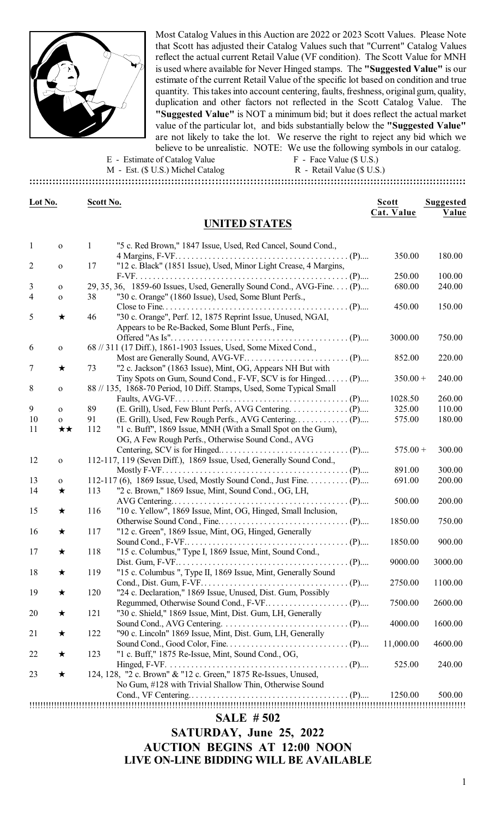

Most Catalog Values in this Auction are 2022 or 2023 Scott Values. Please Note that Scott has adjusted their Catalog Values such that "Current" Catalog Values reflect the actual current Retail Value (VF condition). The Scott Value for MNH is used where available for Never Hinged stamps. The **"Suggested Value"** is our estimate of the current Retail Value of the specific lot based on condition and true quantity. This takes into account centering, faults, freshness, original gum, quality, duplication and other factors not reflected in the Scott Catalog Value. The **"Suggested Value"** is NOT a minimum bid; but it does reflect the actual market value of the particular lot, and bids substantially below the **"Suggested Value"** are not likely to take the lot. We reserve the right to reject any bid which we believe to be unrealistic. NOTE: We use the following symbols in our catalog.

E - Estimate of Catalog Value F - Face Value (\$ U.S.)

M - Est. (\$ U.S.) Michel Catalog R - Retail Value (\$ U.S.) **:::::::::::::::::::::::::::::::::::::::::::::::::::::::::::::::::::::::::::::::::::::::::::::::::::::::::::::::::::::::::::::::::::**

| Lot No.        |              | Scott No.    |                                                                        | <b>Scott</b> | Suggested       |
|----------------|--------------|--------------|------------------------------------------------------------------------|--------------|-----------------|
|                |              |              | <b>UNITED STATES</b>                                                   | Cat. Value   | Value           |
|                |              |              |                                                                        |              |                 |
| $\mathbf{1}$   | $\mathbf O$  | $\mathbf{1}$ | "5 c. Red Brown," 1847 Issue, Used, Red Cancel, Sound Cond.,           |              |                 |
|                |              |              |                                                                        | 350.00       | 180.00          |
| $\overline{c}$ | $\mathbf{o}$ | 17           | "12 c. Black" (1851 Issue), Used, Minor Light Crease, 4 Margins,       |              |                 |
|                |              |              |                                                                        | 250.00       | 100.00          |
| 3              | $\mathbf O$  |              | 29, 35, 36, 1859-60 Issues, Used, Generally Sound Cond., AVG-Fine. (P) | 680.00       | 240.00          |
| 4              | $\mathbf{o}$ | 38           | "30 c. Orange" (1860 Issue), Used, Some Blunt Perfs.,                  |              |                 |
|                |              |              |                                                                        | 450.00       | 150.00          |
| 5              | $\bigstar$   | 46           | "30 c. Orange", Perf. 12, 1875 Reprint Issue, Unused, NGAI,            |              |                 |
|                |              |              | Appears to be Re-Backed, Some Blunt Perfs., Fine,                      | 3000.00      | 750.00          |
| 6              | $\mathbf{O}$ |              | 68 // 311 (17 Diff.), 1861-1903 Issues, Used, Some Mixed Cond.,        |              |                 |
|                |              |              |                                                                        | 852.00       | 220.00          |
| 7              | $\bigstar$   | 73           | "2 c. Jackson" (1863 Issue), Mint, OG, Appears NH But with             |              |                 |
|                |              |              | Tiny Spots on Gum, Sound Cond., F-VF, SCV is for Hinged (P)            | $350.00 +$   | 240.00          |
| 8              | $\mathbf{o}$ |              | 88 // 135, 1868-70 Period, 10 Diff. Stamps, Used, Some Typical Small   |              |                 |
|                |              |              |                                                                        | 1028.50      | 260.00          |
| 9              | $\mathbf{o}$ | 89           |                                                                        | 325.00       | 110.00          |
| 10             | $\mathbf{o}$ | 91           |                                                                        | 575.00       | 180.00          |
| 11             | ★★           | 112          | "1 c. Buff", 1869 Issue, MNH (With a Small Spot on the Gum),           |              |                 |
|                |              |              | OG, A Few Rough Perfs., Otherwise Sound Cond., AVG                     |              |                 |
|                |              |              |                                                                        | $575.00 +$   | 300.00          |
| 12             | $\mathbf{o}$ |              | 112-117, 119 (Seven Diff.), 1869 Issue, Used, Generally Sound Cond.,   |              |                 |
|                |              |              |                                                                        | 891.00       | 300.00          |
| 13             | $\mathbf{O}$ |              | 112-117 (6), 1869 Issue, Used, Mostly Sound Cond., Just Fine. (P)      | 691.00       | 200.00          |
| 14             | $\bigstar$   | 113          | "2 c. Brown," 1869 Issue, Mint, Sound Cond., OG, LH,                   |              |                 |
|                |              |              |                                                                        | 500.00       | 200.00          |
| 15             | $\star$      | 116          | "10 c. Yellow", 1869 Issue, Mint, OG, Hinged, Small Inclusion,         |              |                 |
|                |              |              |                                                                        | 1850.00      | 750.00          |
| 16             | ★            | 117          | "12 c. Green", 1869 Issue, Mint, OG, Hinged, Generally                 |              |                 |
|                |              |              |                                                                        | 1850.00      | 900.00          |
| 17             | ★            | 118          | "15 c. Columbus," Type I, 1869 Issue, Mint, Sound Cond.,               |              |                 |
|                |              |              |                                                                        |              | 9000.00 3000.00 |
| 18             | ★            | 119          | "15 c. Columbus ", Type II, 1869 Issue, Mint, Generally Sound          |              |                 |
|                |              |              |                                                                        | 2750.00      | 1100.00         |
| 19             | $\star$      | 120          | "24 c. Declaration," 1869 Issue, Unused, Dist. Gum, Possibly           |              |                 |
|                |              |              |                                                                        | 7500.00      | 2600.00         |
| 20             | $\star$      | 121          | "30 c. Shield," 1869 Issue, Mint, Dist. Gum, LH, Generally             |              |                 |
|                |              |              |                                                                        | 4000.00      | 1600.00         |
| 21             | $\star$      | 122          | "90 c. Lincoln" 1869 Issue, Mint, Dist. Gum, LH, Generally             |              |                 |
|                |              |              |                                                                        | 11,000.00    | 4600.00         |
| 22             | $\star$      | 123          | "1 c. Buff," 1875 Re-Issue, Mint, Sound Cond., OG,                     |              |                 |
|                |              |              |                                                                        | 525.00       | 240.00          |
| 23             | $\bigstar$   |              | 124, 128, "2 c. Brown" & "12 c. Green," 1875 Re-Issues, Unused,        |              |                 |
|                |              |              | No Gum, #128 with Trivial Shallow Thin, Otherwise Sound                |              |                 |
|                |              |              |                                                                        | 1250.00      | 500.00          |
|                |              |              |                                                                        |              |                 |
|                |              |              | <b>SALE #502</b>                                                       |              |                 |

**SATURDAY, June 25, 2022 AUCTION BEGINS AT 12:00 NOON**

**LIVE ON-LINE BIDDING WILL BE AVAILABLE**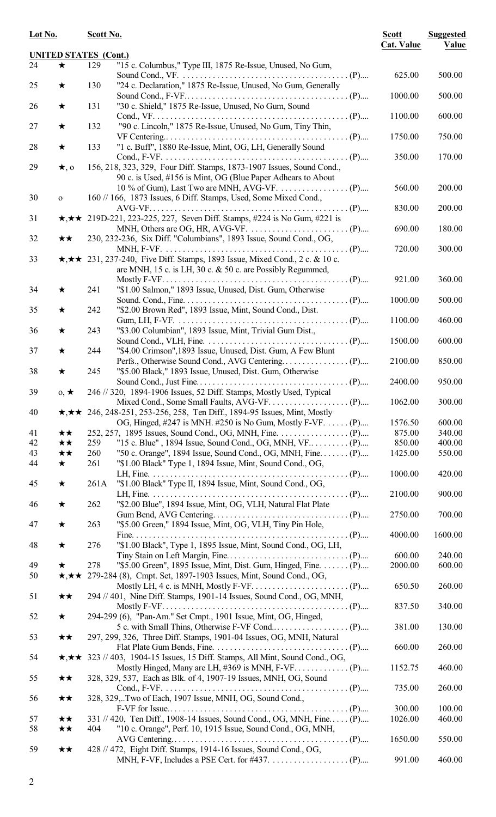| Lot No.  |              | Scott No.                    |                                                                                                                                                             | <b>Scott</b><br><b>Cat. Value</b> | <b>Suggested</b><br>Value |
|----------|--------------|------------------------------|-------------------------------------------------------------------------------------------------------------------------------------------------------------|-----------------------------------|---------------------------|
|          |              | <b>UNITED STATES (Cont.)</b> |                                                                                                                                                             |                                   |                           |
| 24       | $\bigstar$   | 129                          | "15 c. Columbus," Type III, 1875 Re-Issue, Unused, No Gum,                                                                                                  | 625.00                            | 500.00                    |
| 25       | ★            | 130                          | "24 c. Declaration," 1875 Re-Issue, Unused, No Gum, Generally                                                                                               |                                   |                           |
| 26       | $\bigstar$   | 131                          | "30 c. Shield," 1875 Re-Issue, Unused, No Gum, Sound                                                                                                        | 1000.00                           | 500.00                    |
| 27       | $\bigstar$   | 132                          | "90 c. Lincoln," 1875 Re-Issue, Unused, No Gum, Tiny Thin,                                                                                                  | 1100.00                           | 600.00                    |
| 28       | $\star$      | 133                          | "1 c. Buff", 1880 Re-Issue, Mint, OG, LH, Generally Sound                                                                                                   | 1750.00                           | 750.00                    |
| 29       | $\star$ , o  |                              | 156, 218, 323, 329, Four Diff. Stamps, 1873-1907 Issues, Sound Cond.,<br>90 c. is Used, #156 is Mint, OG (Blue Paper Adhears to About                       | 350.00                            | 170.00                    |
| 30       | $\mathbf{O}$ |                              | 160 // 166, 1873 Issues, 6 Diff. Stamps, Used, Some Mixed Cond.,                                                                                            | 560.00                            | 200.00                    |
| 31       |              |                              | $\star, \star \star$ 219D-221, 223-225, 227, Seven Diff. Stamps, #224 is No Gum, #221 is                                                                    | 830.00                            | 200.00                    |
|          |              |                              |                                                                                                                                                             | 690.00                            | 180.00                    |
| 32       | ★★           |                              | 230, 232-236, Six Diff. "Columbians", 1893 Issue, Sound Cond., OG,                                                                                          | 720.00                            | 300.00                    |
| 33       |              |                              | $\star, \star \star$ 231, 237-240, Five Diff. Stamps, 1893 Issue, Mixed Cond., 2 c. & 10 c.<br>are MNH, 15 c. is LH, 30 c. $&$ 50 c. are Possibly Regummed, |                                   |                           |
| 34       |              |                              |                                                                                                                                                             | 921.00                            | 360.00                    |
|          | ★            | 241                          | "\$1.00 Salmon," 1893 Issue, Unused, Dist. Gum, Otherwise                                                                                                   | 1000.00                           | 500.00                    |
| 35       | ★            | 242                          | "\$2.00 Brown Red", 1893 Issue, Mint, Sound Cond., Dist.                                                                                                    | 1100.00                           | 460.00                    |
| 36       | ★            | 243                          | "\$3.00 Columbian", 1893 Issue, Mint, Trivial Gum Dist.,                                                                                                    | 1500.00                           | 600.00                    |
| 37       | $\star$      | 244                          | "\$4.00 Crimson",1893 Issue, Unused, Dist. Gum, A Few Blunt                                                                                                 | 2100.00                           | 850.00                    |
| 38       | ★            | 245                          | "\$5.00 Black," 1893 Issue, Unused, Dist. Gum, Otherwise                                                                                                    | 2400.00                           | 950.00                    |
| 39       | $0, \star$   |                              | 246 // 320, 1894-1906 Issues, 52 Diff. Stamps, Mostly Used, Typical                                                                                         |                                   |                           |
| 40       |              |                              | $\star, \star \star$ 246, 248-251, 253-256, 258, Ten Diff., 1894-95 Issues, Mint, Mostly                                                                    | 1062.00                           | 300.00                    |
| 41       | ★★           |                              | OG, Hinged, #247 is MNH. #250 is No Gum, Mostly F-VF. (P)                                                                                                   | 1576.50<br>875.00                 | 600.00<br>340.00          |
| 42       | $\star\star$ | 259                          |                                                                                                                                                             | 850.00                            | 400.00                    |
| 43       | ★★           | 260                          | "50 c. Orange", 1894 Issue, Sound Cond., OG, MNH, Fine (P)                                                                                                  | 1425.00                           | 550.00                    |
| 44       | $\star$      | 261                          | "\$1.00 Black" Type 1, 1894 Issue, Mint, Sound Cond., OG,                                                                                                   |                                   | 420.00                    |
| 45       | $\star$      | 261A                         | "\$1.00 Black" Type II, 1894 Issue, Mint, Sound Cond., OG,                                                                                                  | 1000.00                           |                           |
| 46       | ★            | 262                          | "\$2.00 Blue", 1894 Issue, Mint, OG, VLH, Natural Flat Plate                                                                                                | 2100.00                           | 900.00                    |
| 47       | ★            | 263                          | "\$5.00 Green," 1894 Issue, Mint, OG, VLH, Tiny Pin Hole,                                                                                                   | 2750.00                           | 700.00                    |
| 48       | ★            | 276                          | "\$1.00 Black", Type 1, 1895 Issue, Mint, Sound Cond., OG, LH,                                                                                              | 4000.00                           | 1600.00                   |
|          |              |                              |                                                                                                                                                             | 600.00                            | 240.00                    |
| 49       | $\star$      | 278                          | "\$5.00 Green", 1895 Issue, Mint, Dist. Gum, Hinged, Fine. (P)                                                                                              | 2000.00                           | 600.00                    |
| 50       |              |                              | $\star, \star \star$ 279-284 (8), Cmpt. Set, 1897-1903 Issues, Mint, Sound Cond., OG,                                                                       | 650.50                            | 260.00                    |
| 51       | ★★           |                              | 294 // 401, Nine Diff. Stamps, 1901-14 Issues, Sound Cond., OG, MNH,                                                                                        | 837.50                            | 340.00                    |
| 52       | $\bigstar$   |                              | 294-299 (6), "Pan-Am." Set Cmpt., 1901 Issue, Mint, OG, Hinged,                                                                                             | 381.00                            | 130.00                    |
| 53       | ★★           |                              | 297, 299, 326, Three Diff. Stamps, 1901-04 Issues, OG, MNH, Natural                                                                                         | 660.00                            | 260.00                    |
| 54       |              |                              | $\star$ , $\star \star$ 323 // 403, 1904-15 Issues, 15 Diff. Stamps, All Mint, Sound Cond., OG,                                                             | 1152.75                           | 460.00                    |
| 55       | $\star\star$ |                              | 328, 329, 537, Each as Blk. of 4, 1907-19 Issues, MNH, OG, Sound                                                                                            | 735.00                            | 260.00                    |
| 56       | $\star\star$ |                              | 328, 329,Two of Each, 1907 Issue, MNH, OG, Sound Cond.,                                                                                                     |                                   |                           |
|          |              |                              |                                                                                                                                                             | 300.00                            | 100.00                    |
| 57<br>58 | ★★<br>★★     | 404                          | 331 // 420, Ten Diff., 1908-14 Issues, Sound Cond., OG, MNH, Fine (P)<br>"10 c. Orange", Perf. 10, 1915 Issue, Sound Cond., OG, MNH,                        | 1026.00                           | 460.00                    |
|          |              |                              |                                                                                                                                                             | 1650.00                           | 550.00                    |
| 59       | ★★           |                              | 428 // 472, Eight Diff. Stamps, 1914-16 Issues, Sound Cond., OG,                                                                                            | 991.00                            | 460.00                    |
|          |              |                              |                                                                                                                                                             |                                   |                           |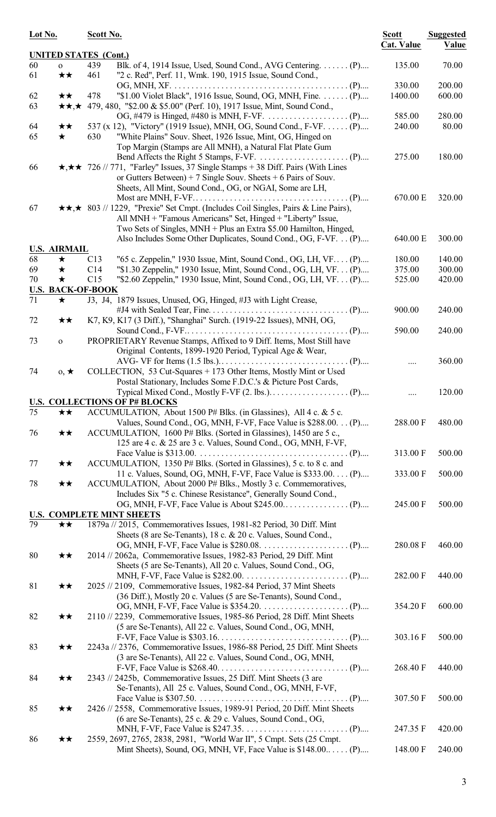| Lot No.         |                                    | Scott No.                                                                                                                                                                                                                     | <b>Scott</b><br><b>Cat. Value</b> | <b>Suggested</b><br>Value |
|-----------------|------------------------------------|-------------------------------------------------------------------------------------------------------------------------------------------------------------------------------------------------------------------------------|-----------------------------------|---------------------------|
|                 |                                    | <b>UNITED STATES (Cont.)</b>                                                                                                                                                                                                  |                                   |                           |
| 60<br>61        | $\mathbf{o}$<br>★★                 | 439<br>Blk. of 4, 1914 Issue, Used, Sound Cond., AVG Centering. (P)<br>"2 c. Red", Perf. 11, Wmk. 190, 1915 Issue, Sound Cond.,<br>461                                                                                        | 135.00                            | 70.00                     |
| 62<br>63        | $\star\star$<br>$\star\star,\star$ | "\$1.00 Violet Black", 1916 Issue, Sound, OG, MNH, Fine.  (P)<br>478<br>479, 480, "\$2.00 & \$5.00" (Perf. 10), 1917 Issue, Mint, Sound Cond.,                                                                                | 330.00<br>1400.00                 | 200.00<br>600.00          |
| 64<br>65        | ★★<br>$\star$                      | 537 (x 12), "Victory" (1919 Issue), MNH, OG, Sound Cond., F-VF. (P)<br>630<br>"White Plains" Souv. Sheet, 1926 Issue, Mint, OG, Hinged on<br>Top Margin (Stamps are All MNH), a Natural Flat Plate Gum                        | 585.00<br>240.00                  | 280.00<br>80.00           |
| 66              |                                    | $\star, \star \star$ 726 // 771, "Farley" Issues, 37 Single Stamps + 38 Diff. Pairs (With Lines<br>or Gutters Between) + 7 Single Souv. Sheets + 6 Pairs of Souv.<br>Sheets, All Mint, Sound Cond., OG, or NGAI, Some are LH, | 275.00                            | 180.00                    |
| 67              |                                    | <b>★★,★</b> 803 // 1229, "Prexie" Set Cmpt. (Includes Coil Singles, Pairs & Line Pairs),<br>All MNH + "Famous Americans" Set, Hinged + "Liberty" Issue,<br>Two Sets of Singles, MNH + Plus an Extra \$5.00 Hamilton, Hinged,  | 670.00 E                          | 320.00                    |
|                 |                                    | Also Includes Some Other Duplicates, Sound Cond., OG, F-VF. (P)                                                                                                                                                               | 640.00 E                          | 300.00                    |
| 68              | <b>U.S. AIRMAIL</b><br>$\bigstar$  | C13<br>"65 c. Zeppelin," 1930 Issue, Mint, Sound Cond., OG, LH, VF (P)                                                                                                                                                        | 180.00                            | 140.00                    |
| 69              | ★                                  | "\$1.30 Zeppelin," 1930 Issue, Mint, Sound Cond., OG, LH, VF. (P)<br>C14                                                                                                                                                      | 375.00                            | 300.00                    |
| 70              | ★                                  | C15<br>"\$2.60 Zeppelin," 1930 Issue, Mint, Sound Cond., OG, LH, VF. (P)                                                                                                                                                      | 525.00                            | 420.00                    |
|                 |                                    | <b>U.S. BACK-OF-BOOK</b>                                                                                                                                                                                                      |                                   |                           |
| 71              | $\star$                            | J3, J4, 1879 Issues, Unused, OG, Hinged, #J3 with Light Crease,                                                                                                                                                               |                                   |                           |
| 72              | ★★                                 | K7, K9, K17 (3 Diff.), "Shanghai" Surch. (1919-22 Issues), MNH, OG,                                                                                                                                                           | 900.00                            | 240.00                    |
|                 |                                    |                                                                                                                                                                                                                               | 590.00                            | 240.00                    |
| 73              | $\mathbf O$                        | PROPRIETARY Revenue Stamps, Affixed to 9 Diff. Items, Most Still have<br>Original Contents, 1899-1920 Period, Typical Age & Wear,                                                                                             |                                   |                           |
| 74              | $0, \star$                         | COLLECTION, 53 Cut-Squares + 173 Other Items, Mostly Mint or Used<br>Postal Stationary, Includes Some F.D.C.'s & Picture Post Cards,                                                                                          |                                   | 360.00                    |
|                 |                                    |                                                                                                                                                                                                                               |                                   | 120.00                    |
| $\overline{75}$ | ★★                                 | <b>U.S. COLLECTIONS OF P# BLOCKS</b><br>ACCUMULATION, About 1500 P# Blks. (in Glassines), All 4 c. & 5 c.                                                                                                                     |                                   |                           |
| 76              | ★★                                 | Values, Sound Cond., OG, MNH, F-VF, Face Value is \$288.00. (P)<br>ACCUMULATION, 1600 P# Blks. (Sorted in Glassines), 1450 are 5 c.,                                                                                          | 288.00 F                          | 480.00                    |
|                 |                                    | 125 are 4 c. & 25 are 3 c. Values, Sound Cond., OG, MNH, F-VF,                                                                                                                                                                | 313.00 F                          | 500.00                    |
| 77              | ★★                                 | ACCUMULATION, 1350 P# Blks. (Sorted in Glassines), 5 c. to 8 c. and<br>11 c. Values, Sound, OG, MNH, F-VF, Face Value is \$333.00. (P)                                                                                        |                                   |                           |
| 78              | ★★                                 | ACCUMULATION, About 2000 P# Blks., Mostly 3 c. Commemoratives,<br>Includes Six "5 c. Chinese Resistance", Generally Sound Cond.,                                                                                              | 333.00 F                          | 500.00                    |
|                 |                                    | <b>U.S. COMPLETE MINT SHEETS</b>                                                                                                                                                                                              | 245.00 F                          | 500.00                    |
| 79              | ★★                                 | 1879a // 2015, Commemoratives Issues, 1981-82 Period, 30 Diff. Mint                                                                                                                                                           |                                   |                           |
|                 |                                    | Sheets (8 are Se-Tenants), 18 c. & 20 c. Values, Sound Cond.,                                                                                                                                                                 | 280.08 F                          | 460.00                    |
| 80              | ★★                                 | 2014 // 2062a, Commemorative Issues, 1982-83 Period, 29 Diff. Mint<br>Sheets (5 are Se-Tenants), All 20 c. Values, Sound Cond., OG,                                                                                           | 282.00 F                          | 440.00                    |
| 81              | ★★                                 | 2025 // 2109, Commemorative Issues, 1982-84 Period, 37 Mint Sheets<br>(36 Diff.), Mostly 20 c. Values (5 are Se-Tenants), Sound Cond.,                                                                                        |                                   |                           |
| 82              | $\star\star$                       | 2110 // 2239, Commemorative Issues, 1985-86 Period, 28 Diff. Mint Sheets<br>(5 are Se-Tenants), All 22 c. Values, Sound Cond., OG, MNH,                                                                                       | 354.20 F                          | 600.00                    |
| 83              | ★★                                 | 2243a // 2376, Commemorative Issues, 1986-88 Period, 25 Diff. Mint Sheets                                                                                                                                                     | 303.16 F                          | 500.00                    |
| 84              | ★★                                 | (3 are Se-Tenants), All 22 c. Values, Sound Cond., OG, MNH,<br>2343 // 2425b, Commemorative Issues, 25 Diff. Mint Sheets (3 are                                                                                               | 268.40 F                          | 440.00                    |
|                 |                                    | Se-Tenants), All 25 c. Values, Sound Cond., OG, MNH, F-VF,                                                                                                                                                                    | 307.50 F                          | 500.00                    |
| 85              | ★★                                 | 2426 // 2558, Commemorative Issues, 1989-91 Period, 20 Diff. Mint Sheets<br>(6 are Se-Tenants), 25 c. & 29 c. Values, Sound Cond., OG,                                                                                        |                                   |                           |
| 86              | ★★                                 | 2559, 2697, 2765, 2838, 2981, "World War II", 5 Cmpt. Sets (25 Cmpt.                                                                                                                                                          | 247.35 F                          | 420.00                    |
|                 |                                    | Mint Sheets), Sound, OG, MNH, VF, Face Value is $$148.00$ (P)                                                                                                                                                                 | 148.00 F                          | 240.00                    |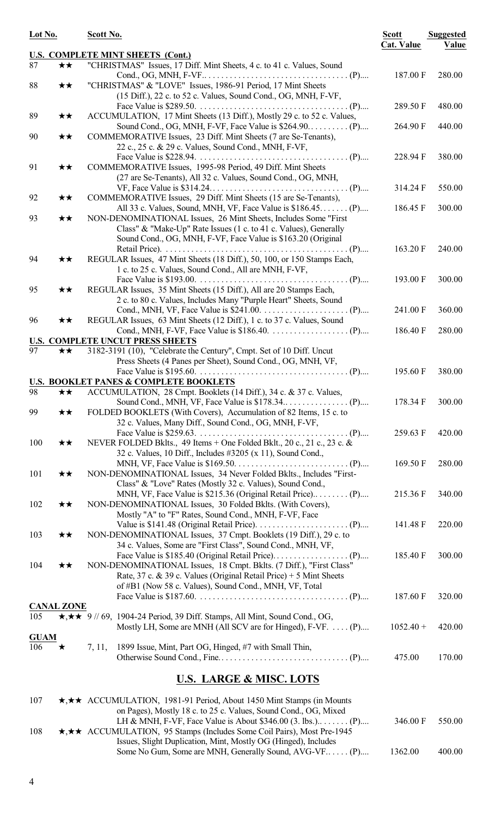| Lot No.     |                   | Scott No.                                                                                                                       | <b>Scott</b><br><b>Cat. Value</b> | <b>Suggested</b><br>Value |  |
|-------------|-------------------|---------------------------------------------------------------------------------------------------------------------------------|-----------------------------------|---------------------------|--|
| 87          |                   | <b>U.S. COMPLETE MINT SHEETS (Cont.)</b>                                                                                        |                                   |                           |  |
|             | ★★                | "CHRISTMAS" Issues, 17 Diff. Mint Sheets, 4 c. to 41 c. Values, Sound                                                           | 187.00 F                          | 280.00                    |  |
| 88          | ★★                | "CHRISTMAS" & "LOVE" Issues, 1986-91 Period, 17 Mint Sheets                                                                     |                                   |                           |  |
|             |                   | (15 Diff.), 22 c. to 52 c. Values, Sound Cond., OG, MNH, F-VF,                                                                  |                                   |                           |  |
|             |                   |                                                                                                                                 | 289.50 F                          | 480.00                    |  |
| 89          | ★★                | ACCUMULATION, 17 Mint Sheets (13 Diff.), Mostly 29 c. to 52 c. Values,                                                          |                                   |                           |  |
| 90          | ★★                | Sound Cond., OG, MNH, F-VF, Face Value is $$264.90$ (P)<br>COMMEMORATIVE Issues, 23 Diff. Mint Sheets (7 are Se-Tenants),       | 264.90 F                          | 440.00                    |  |
|             |                   | 22 c., 25 c. & 29 c. Values, Sound Cond., MNH, F-VF,                                                                            |                                   |                           |  |
|             |                   |                                                                                                                                 | 228.94 F                          | 380.00                    |  |
| 91          | ★★                | COMMEMORATIVE Issues, 1995-98 Period, 49 Diff. Mint Sheets                                                                      |                                   |                           |  |
|             |                   | (27 are Se-Tenants), All 32 c. Values, Sound Cond., OG, MNH,                                                                    |                                   |                           |  |
|             |                   |                                                                                                                                 | 314.24 F                          | 550.00                    |  |
| 92          | ★★                | COMMEMORATIVE Issues, 29 Diff. Mint Sheets (15 are Se-Tenants),<br>All 33 c. Values, Sound, MNH, VF, Face Value is \$186.45 (P) | 186.45 F                          | 300.00                    |  |
| 93          | ★★                | NON-DENOMINATIONAL Issues, 26 Mint Sheets, Includes Some "First                                                                 |                                   |                           |  |
|             |                   | Class" & "Make-Up" Rate Issues (1 c. to 41 c. Values), Generally                                                                |                                   |                           |  |
|             |                   | Sound Cond., OG, MNH, F-VF, Face Value is \$163.20 (Original                                                                    |                                   |                           |  |
|             |                   |                                                                                                                                 | 163.20 F                          | 240.00                    |  |
| 94          | $\star\star$      | REGULAR Issues, 47 Mint Sheets (18 Diff.), 50, 100, or 150 Stamps Each,                                                         |                                   |                           |  |
|             |                   | 1 c. to 25 c. Values, Sound Cond., All are MNH, F-VF,                                                                           | 193.00 F                          | 300.00                    |  |
| 95          | $\star\star$      | REGULAR Issues, 35 Mint Sheets (15 Diff.), All are 20 Stamps Each,                                                              |                                   |                           |  |
|             |                   | 2 c. to 80 c. Values, Includes Many "Purple Heart" Sheets, Sound                                                                |                                   |                           |  |
|             |                   |                                                                                                                                 | 241.00 F                          | 360.00                    |  |
| 96          | ★★                | REGULAR Issues, 63 Mint Sheets (12 Diff.), 1 c. to 37 c. Values, Sound                                                          |                                   |                           |  |
|             |                   |                                                                                                                                 | 186.40 F                          | 280.00                    |  |
| 97          | ★★                | <b>U.S. COMPLETE UNCUT PRESS SHEETS</b><br>3182-3191 (10), "Celebrate the Century", Cmpt. Set of 10 Diff. Uncut                 |                                   |                           |  |
|             |                   | Press Sheets (4 Panes per Sheet), Sound Cond., OG, MNH, VF,                                                                     |                                   |                           |  |
|             |                   |                                                                                                                                 | 195.60 F                          | 380.00                    |  |
|             |                   | <b>U.S. BOOKLET PANES &amp; COMPLETE BOOKLETS</b>                                                                               |                                   |                           |  |
| 98          |                   | $\star \star$ ACCUMULATION, 28 Cmpt. Booklets (14 Diff.), 34 c. & 37 c. Values,                                                 |                                   |                           |  |
|             |                   |                                                                                                                                 | 178.34 F                          | 300.00                    |  |
| 99          | $\star\star$      | FOLDED BOOKLETS (With Covers), Accumulation of 82 Items, 15 c. to<br>32 c. Values, Many Diff., Sound Cond., OG, MNH, F-VF,      |                                   |                           |  |
|             |                   |                                                                                                                                 | 259.63 F                          | 420.00                    |  |
| 100         | ★★                | NEVER FOLDED Bklts., 49 Items + One Folded Bklt., 20 c., 21 c., 23 c. &                                                         |                                   |                           |  |
|             |                   | 32 c. Values, 10 Diff., Includes #3205 (x 11), Sound Cond.,                                                                     |                                   |                           |  |
|             |                   |                                                                                                                                 | 169.50 F                          | 280.00                    |  |
| 101         | ★★                | NON-DENOMINATIONAL Issues, 34 Never Folded Bklts., Includes "First-                                                             |                                   |                           |  |
|             |                   | Class" & "Love" Rates (Mostly 32 c. Values), Sound Cond.,                                                                       | 215.36 F                          | 340.00                    |  |
| 102         | ★★                | NON-DENOMINATIONAL Issues, 30 Folded Bklts. (With Covers),                                                                      |                                   |                           |  |
|             |                   | Mostly "A" to "F" Rates, Sound Cond., MNH, F-VF, Face                                                                           |                                   |                           |  |
|             |                   |                                                                                                                                 | 141.48 F                          | 220.00                    |  |
| 103         | ★★                | NON-DENOMINATIONAL Issues, 37 Cmpt. Booklets (19 Diff.), 29 c. to                                                               |                                   |                           |  |
|             |                   | 34 c. Values, Some are "First Class", Sound Cond., MNH, VF,                                                                     |                                   |                           |  |
| 104         | ★★                | NON-DENOMINATIONAL Issues, 18 Cmpt. Bklts. (7 Diff.), "First Class"                                                             | 185.40 F                          | 300.00                    |  |
|             |                   | Rate, 37 c. & 39 c. Values (Original Retail Price) + 5 Mint Sheets                                                              |                                   |                           |  |
|             |                   | of #B1 (Now 58 c. Values), Sound Cond., MNH, VF, Total                                                                          |                                   |                           |  |
|             |                   |                                                                                                                                 | 187.60 F                          | 320.00                    |  |
|             | <b>CANAL ZONE</b> |                                                                                                                                 |                                   |                           |  |
| 105         |                   | $\star, \star \star$ 9 // 69, 1904-24 Period, 39 Diff. Stamps, All Mint, Sound Cond., OG,                                       |                                   |                           |  |
| <b>GUAM</b> |                   | Mostly LH, Some are MNH (All SCV are for Hinged), F-VF.  (P)                                                                    | $1052.40 +$                       | 420.00                    |  |
| 106         | ★                 | 1899 Issue, Mint, Part OG, Hinged, #7 with Small Thin,<br>7, 11,                                                                |                                   |                           |  |
|             |                   |                                                                                                                                 | 475.00                            | 170.00                    |  |
|             |                   | <b>U.S. LARGE &amp; MISC. LOTS</b>                                                                                              |                                   |                           |  |
| 107         |                   | <b>★,★★</b> ACCUMULATION, 1981-91 Period, About 1450 Mint Stamps (in Mounts                                                     |                                   |                           |  |
|             |                   | on Pages), Mostly 18 c. to 25 c. Values, Sound Cond., OG, Mixed                                                                 |                                   |                           |  |
|             |                   |                                                                                                                                 | 346.00 F                          | 550.00                    |  |
| 108         |                   | <b>★,★★</b> ACCUMULATION, 95 Stamps (Includes Some Coil Pairs), Most Pre-1945                                                   |                                   |                           |  |
|             |                   | Issues, Slight Duplication, Mint, Mostly OG (Hinged), Includes<br>Some No Gum, Some are MNH, Generally Sound, AVG-VF (P)        | 1362.00                           | 400.00                    |  |
|             |                   |                                                                                                                                 |                                   |                           |  |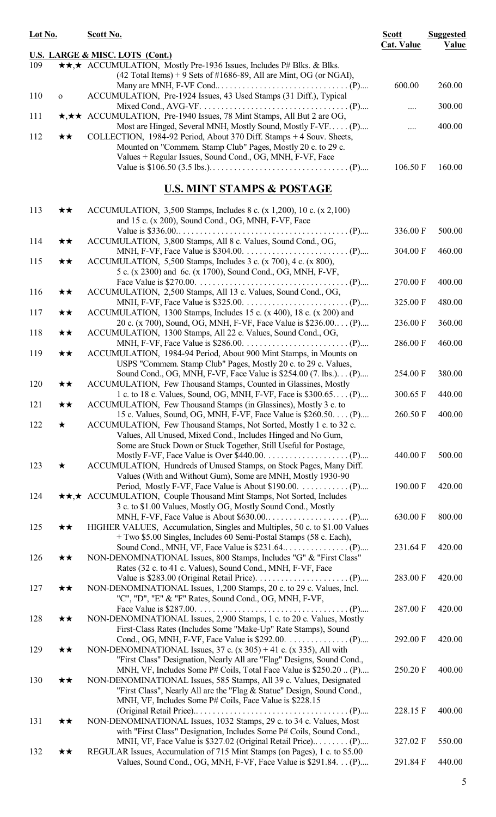| Lot No.             |              | Scott No.                                                                                                                 | <b>Scott</b><br><b>Cat. Value</b> | <b>Suggested</b><br>Value |
|---------------------|--------------|---------------------------------------------------------------------------------------------------------------------------|-----------------------------------|---------------------------|
|                     |              | <b>U.S. LARGE &amp; MISC. LOTS (Cont.)</b>                                                                                |                                   |                           |
| 109                 |              | *** ACCUMULATION, Mostly Pre-1936 Issues, Includes P# Blks. & Blks.                                                       |                                   |                           |
|                     |              | $(42$ Total Items) + 9 Sets of #1686-89, All are Mint, OG (or NGAI),                                                      |                                   |                           |
|                     |              |                                                                                                                           | 600.00                            | 260.00                    |
| 110<br>$\mathbf{o}$ |              | ACCUMULATION, Pre-1924 Issues, 43 Used Stamps (31 Diff.), Typical                                                         |                                   |                           |
|                     |              |                                                                                                                           |                                   | 300.00                    |
| 111                 |              | *** ACCUMULATION, Pre-1940 Issues, 78 Mint Stamps, All But 2 are OG,                                                      |                                   |                           |
|                     |              | Most are Hinged, Several MNH, Mostly Sound, Mostly F-VF (P)                                                               |                                   | 400.00                    |
| 112                 | $\star\star$ | COLLECTION, 1984-92 Period, About 370 Diff. Stamps + 4 Souv. Sheets,                                                      |                                   |                           |
|                     |              | Mounted on "Commem. Stamp Club" Pages, Mostly 20 c. to 29 c.<br>Values + Regular Issues, Sound Cond., OG, MNH, F-VF, Face |                                   |                           |
|                     |              |                                                                                                                           | 106.50 F                          | 160.00                    |
|                     |              |                                                                                                                           |                                   |                           |
|                     |              | <u>U.S. MINT STAMPS &amp; POSTAGE</u>                                                                                     |                                   |                           |
|                     |              |                                                                                                                           |                                   |                           |
| 113                 | ★★           | ACCUMULATION, 3,500 Stamps, Includes 8 c. (x 1,200), 10 c. (x 2,100)                                                      |                                   |                           |
|                     |              | and 15 c. (x 200), Sound Cond., OG, MNH, F-VF, Face                                                                       |                                   |                           |
|                     | ★★           | ACCUMULATION, 3,800 Stamps, All 8 c. Values, Sound Cond., OG,                                                             | 336.00 F                          | 500.00                    |
| 114                 |              |                                                                                                                           | 304.00 F                          | 460.00                    |
| 115                 | $\star\star$ | ACCUMULATION, 5,500 Stamps, Includes 3 c. (x 700), 4 c. (x 800),                                                          |                                   |                           |
|                     |              | 5 c. (x 2300) and 6c. (x 1700), Sound Cond., OG, MNH, F-VF,                                                               |                                   |                           |
|                     |              |                                                                                                                           | 270.00 F                          | 400.00                    |
| 116                 | ★★           | ACCUMULATION, 2,500 Stamps, All 13 c. Values, Sound Cond., OG,                                                            |                                   |                           |
|                     |              |                                                                                                                           | 325.00 F                          | 480.00                    |
| 117                 | ★★           | ACCUMULATION, 1300 Stamps, Includes 15 c. (x 400), 18 c. (x 200) and                                                      |                                   |                           |
|                     |              | 20 c. (x 700), Sound, OG, MNH, F-VF, Face Value is \$236.00 (P)                                                           | 236.00 F                          | 360.00                    |
| 118                 | ★★           | ACCUMULATION, 1300 Stamps, All 22 c. Values, Sound Cond., OG,                                                             |                                   |                           |
|                     |              |                                                                                                                           | 286.00 F                          | 460.00                    |
| 119                 | ★★           | ACCUMULATION, 1984-94 Period, About 900 Mint Stamps, in Mounts on                                                         |                                   |                           |
|                     |              | USPS "Commem. Stamp Club" Pages, Mostly 20 c. to 29 c. Values,                                                            |                                   |                           |
|                     |              | Sound Cond., OG, MNH, F-VF, Face Value is \$254.00 (7. lbs.) (P)                                                          | 254.00 F                          | 380.00                    |
| 120                 | ★★           | ACCUMULATION, Few Thousand Stamps, Counted in Glassines, Mostly                                                           |                                   |                           |
|                     |              | 1 c. to 18 c. Values, Sound, OG, MNH, F-VF, Face is \$300.65 (P)                                                          |                                   | 300.65 F 440.00           |
| 121                 | ★★           | ACCUMULATION, Few Thousand Stamps (in Glassines), Mostly 3 c. to                                                          |                                   |                           |
|                     |              | 15 c. Values, Sound, OG, MNH, F-VF, Face Value is \$260.50. (P)                                                           | 260.50 F                          | 400.00                    |
| 122                 | $\star$      | ACCUMULATION, Few Thousand Stamps, Not Sorted, Mostly 1 c. to 32 c.                                                       |                                   |                           |
|                     |              | Values, All Unused, Mixed Cond., Includes Hinged and No Gum,                                                              |                                   |                           |
|                     |              | Some are Stuck Down or Stuck Together, Still Useful for Postage,                                                          |                                   |                           |
|                     |              |                                                                                                                           | 440.00 F                          | 500.00                    |
| 123                 | $\star$      | ACCUMULATION, Hundreds of Unused Stamps, on Stock Pages, Many Diff.                                                       |                                   |                           |
|                     |              | Values (With and Without Gum), Some are MNH, Mostly 1930-90                                                               |                                   |                           |
|                     |              |                                                                                                                           | 190.00 F                          | 420.00                    |
| 124                 |              | **,* ACCUMULATION, Couple Thousand Mint Stamps, Not Sorted, Includes                                                      |                                   |                           |
|                     |              | 3 c. to \$1.00 Values, Mostly OG, Mostly Sound Cond., Mostly                                                              |                                   |                           |
|                     |              |                                                                                                                           | 630.00 F                          | 800.00                    |
| 125                 | ★★           | HIGHER VALUES, Accumulation, Singles and Multiples, 50 c. to \$1.00 Values                                                |                                   |                           |
|                     |              | + Two \$5.00 Singles, Includes 60 Semi-Postal Stamps (58 c. Each),                                                        |                                   |                           |
|                     |              |                                                                                                                           | 231.64 F                          | 420.00                    |
| 126                 | ★★           | NON-DENOMINATIONAL Issues, 800 Stamps, Includes "G" & "First Class"                                                       |                                   |                           |
|                     |              | Rates (32 c. to 41 c. Values), Sound Cond., MNH, F-VF, Face                                                               |                                   |                           |
|                     |              |                                                                                                                           | 283.00 F                          | 420.00                    |
| 127                 | ★★           | NON-DENOMINATIONAL Issues, 1,200 Stamps, 20 c. to 29 c. Values, Incl.                                                     |                                   |                           |
|                     |              | "C", "D", "E" & "F" Rates, Sound Cond., OG, MNH, F-VF,                                                                    |                                   |                           |
|                     |              |                                                                                                                           | 287.00 F                          | 420.00                    |
| 128                 | ★★           | NON-DENOMINATIONAL Issues, 2,900 Stamps, 1 c. to 20 c. Values, Mostly                                                     |                                   |                           |
|                     |              | First-Class Rates (Includes Some "Make-Up" Rate Stamps), Sound                                                            |                                   |                           |
|                     |              | Cond., OG, MNH, F-VF, Face Value is $$292.00.$ (P)                                                                        | 292.00 F                          | 420.00                    |
| 129                 | ★★           | NON-DENOMINATIONAL Issues, $37$ c. (x $305$ ) + 41 c. (x 335), All with                                                   |                                   |                           |
|                     |              | "First Class" Designation, Nearly All are "Flag" Designs, Sound Cond.,                                                    |                                   | 400.00                    |
|                     |              | MNH, VF, Includes Some P# Coils, Total Face Value is \$250.20  (P)                                                        | 250.20 F                          |                           |
| 130                 | ★★           | NON-DENOMINATIONAL Issues, 585 Stamps, All 39 c. Values, Designated                                                       |                                   |                           |
|                     |              | "First Class", Nearly All are the "Flag & Statue" Design, Sound Cond.,                                                    |                                   |                           |
|                     |              | MNH, VF, Includes Some P# Coils, Face Value is \$228.15                                                                   |                                   |                           |
| 131                 | ★★           | NON-DENOMINATIONAL Issues, 1032 Stamps, 29 c. to 34 c. Values, Most                                                       | 228.15 F                          | 400.00                    |
|                     |              | with "First Class" Designation, Includes Some P# Coils, Sound Cond.,                                                      |                                   |                           |
|                     |              | MNH, VF, Face Value is \$327.02 (Original Retail Price) (P)                                                               | 327.02 F                          | 550.00                    |
| 132                 | ★★           | REGULAR Issues, Accumulation of 715 Mint Stamps (on Pages), 1 c. to \$5.00                                                |                                   |                           |
|                     |              | Values, Sound Cond., OG, MNH, F-VF, Face Value is \$291.84. (P)                                                           | 291.84 F                          | 440.00                    |
|                     |              |                                                                                                                           |                                   |                           |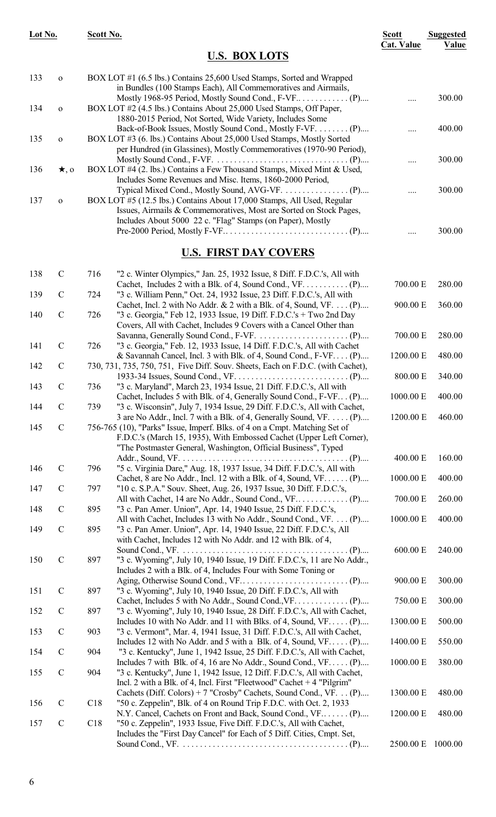| Lot No.    |                            | Scott No.                                                                                                                                                                                                                         | <b>Scott</b><br><b>Cat. Value</b> | <b>Suggested</b> |
|------------|----------------------------|-----------------------------------------------------------------------------------------------------------------------------------------------------------------------------------------------------------------------------------|-----------------------------------|------------------|
|            |                            | <b>U.S. BOX LOTS</b>                                                                                                                                                                                                              |                                   | Value            |
| 133        | $\mathbf O$                | BOX LOT #1 (6.5 lbs.) Contains 25,600 Used Stamps, Sorted and Wrapped<br>in Bundles (100 Stamps Each), All Commemoratives and Airmails,                                                                                           |                                   |                  |
| 134        | $\mathbf O$                | BOX LOT #2 (4.5 lbs.) Contains About 25,000 Used Stamps, Off Paper,<br>1880-2015 Period, Not Sorted, Wide Variety, Includes Some                                                                                                  |                                   | 300.00           |
| 135        | $\mathbf O$                | Back-of-Book Issues, Mostly Sound Cond., Mostly F-VF. (P)<br>BOX LOT #3 (6. lbs.) Contains About 25,000 Used Stamps, Mostly Sorted<br>per Hundred (in Glassines), Mostly Commemoratives (1970-90 Period),                         |                                   | 400.00           |
| 136        | $\star$ , o                | BOX LOT #4 (2. lbs.) Contains a Few Thousand Stamps, Mixed Mint & Used,<br>Includes Some Revenues and Misc. Items, 1860-2000 Period,                                                                                              |                                   | 300.00           |
| 137        | $\mathbf O$                | BOX LOT #5 (12.5 lbs.) Contains About 17,000 Stamps, All Used, Regular<br>Issues, Airmails & Commemoratives, Most are Sorted on Stock Pages,<br>Includes About 5000 22 c. "Flag" Stamps (on Paper), Mostly                        |                                   | 300.00           |
|            |                            |                                                                                                                                                                                                                                   |                                   | 300.00           |
|            |                            | <b>U.S. FIRST DAY COVERS</b>                                                                                                                                                                                                      |                                   |                  |
| 138<br>139 | $\mathbf C$<br>$\mathbf C$ | 716<br>"2 c. Winter Olympics," Jan. 25, 1932 Issue, 8 Diff. F.D.C.'s, All with<br>Cachet, Includes 2 with a Blk. of 4, Sound Cond., VF. (P)<br>"3 c. William Penn," Oct. 24, 1932 Issue, 23 Diff. F.D.C.'s, All with<br>724       | 700.00 E                          | 280.00           |
| 140        | $\mathbf C$                | Cachet, Incl. 2 with No Addr. & 2 with a Blk. of 4, Sound, VF. (P)<br>726<br>"3 c. Georgia," Feb 12, 1933 Issue, 19 Diff. F.D.C.'s + Two 2nd Day<br>Covers, All with Cachet, Includes 9 Covers with a Cancel Other than           | 900.00 E                          | 360.00           |
| 141        | $\mathbf C$                | "3 c. Georgia," Feb. 12, 1933 Issue, 14 Diff. F.D.C.'s, All with Cachet<br>726                                                                                                                                                    | 700.00 E                          | 280.00           |
| 142        | $\mathcal{C}$              | & Savannah Cancel, Incl. 3 with Blk. of 4, Sound Cond., F-VF (P)<br>730, 731, 735, 750, 751, Five Diff. Souv. Sheets, Each on F.D.C. (with Cachet),                                                                               | 1200.00 E                         | 480.00           |
| 143        | $\mathbf C$                | "3 c. Maryland", March 23, 1934 Issue, 21 Diff. F.D.C.'s, All with<br>736                                                                                                                                                         | 800.00 E                          | 340.00           |
| 144        | $\mathbf C$                | Cachet, Includes 5 with Blk. of 4, Generally Sound Cond., F-VF (P)<br>739<br>"3 c. Wisconsin", July 7, 1934 Issue, 29 Diff. F.D.C.'s, All with Cachet,                                                                            | 1000.00 E                         | 400.00           |
| 145        | $\mathbf C$                | 3 are No Addr., Incl. 7 with a Blk. of 4, Generally Sound, VF. (P)<br>756-765 (10), "Parks" Issue, Imperf. Blks. of 4 on a Cmpt. Matching Set of<br>F.D.C.'s (March 15, 1935), With Embossed Cachet (Upper Left Corner),          | 1200.00 E                         | 460.00           |
|            |                            | "The Postmaster General, Washington, Official Business", Typed                                                                                                                                                                    | 400.00 E                          | 160.00           |
| 146<br>147 | $\mathbf C$<br>$\mathbf C$ | 796<br>"5 c. Virginia Dare," Aug. 18, 1937 Issue, 34 Diff. F.D.C.'s, All with<br>Cachet, 8 are No Addr., Incl. 12 with a Blk. of 4, Sound, $VF$ (P)<br>797<br>"10 c. S.P.A." Souv. Sheet, Aug. 26, 1937 Issue, 30 Diff. F.D.C.'s, | 1000.00 E                         | 400.00           |
| 148        | $\mathbf C$                | 895<br>"3 c. Pan Amer. Union", Apr. 14, 1940 Issue, 25 Diff. F.D.C.'s,                                                                                                                                                            | 700.00 E                          | 260.00           |
| 149        | $\mathbf C$                | All with Cachet, Includes 13 with No Addr., Sound Cond., VF. (P)<br>895<br>"3 c. Pan Amer. Union", Apr. 14, 1940 Issue, 22 Diff. F.D.C.'s, All                                                                                    | 1000.00 E                         | 400.00           |
| 150        | $\mathbf C$                | with Cachet, Includes 12 with No Addr. and 12 with Blk. of 4,<br>897<br>"3 c. Wyoming", July 10, 1940 Issue, 19 Diff. F.D.C.'s, 11 are No Addr.,<br>Includes 2 with a Blk. of 4, Includes Four with Some Toning or                | 600.00 E                          | 240.00           |
| 151        | $\mathbf C$                | 897<br>"3 c. Wyoming", July 10, 1940 Issue, 20 Diff. F.D.C.'s, All with                                                                                                                                                           | 900.00 E                          | 300.00           |
| 152        | $\mathcal{C}$              | 897<br>"3 c. Wyoming", July 10, 1940 Issue, 28 Diff. F.D.C.'s, All with Cachet,                                                                                                                                                   | 750.00 E                          | 300.00           |
| 153        | $\mathcal{C}$              | Includes 10 with No Addr. and 11 with Blks. of 4, Sound, $VF$ (P)<br>903<br>"3 c. Vermont", Mar. 4, 1941 Issue, 31 Diff. F.D.C.'s, All with Cachet,                                                                               | 1300.00 E                         | 500.00           |
| 154        | $\mathcal{C}$              | Includes 12 with No Addr. and 5 with a Blk. of 4, Sound, $VF$ (P)<br>904<br>"3 c. Kentucky", June 1, 1942 Issue, 25 Diff. F.D.C.'s, All with Cachet,                                                                              | 1400.00 E                         | 550.00           |
| 155        | $\mathbf C$                | Includes 7 with Blk. of 4, 16 are No Addr., Sound Cond., $VF$ (P)<br>904<br>"3 c. Kentucky", June 1, 1942 Issue, 12 Diff. F.D.C.'s, All with Cachet,<br>Incl. 2 with a Blk. of 4, Incl. First "Fleetwood" Cachet $+4$ "Pilgrim"   | 1000.00 E                         | 380.00           |
| 156        | $\mathbf C$                | Cachets (Diff. Colors) + 7 "Crosby" Cachets, Sound Cond., VF. (P)<br>C18<br>"50 c. Zeppelin", Blk. of 4 on Round Trip F.D.C. with Oct. 2, 1933                                                                                    | 1300.00 E                         | 480.00           |
| 157        | $\mathbf C$                | N.Y. Cancel, Cachets on Front and Back, Sound Cond., VF (P)<br>C18<br>"50 c. Zeppelin", 1933 Issue, Five Diff. F.D.C.'s, All with Cachet,                                                                                         | 1200.00 E                         | 480.00           |
|            |                            | Includes the "First Day Cancel" for Each of 5 Diff. Cities, Cmpt. Set,                                                                                                                                                            | 2500.00 E                         | 1000.00          |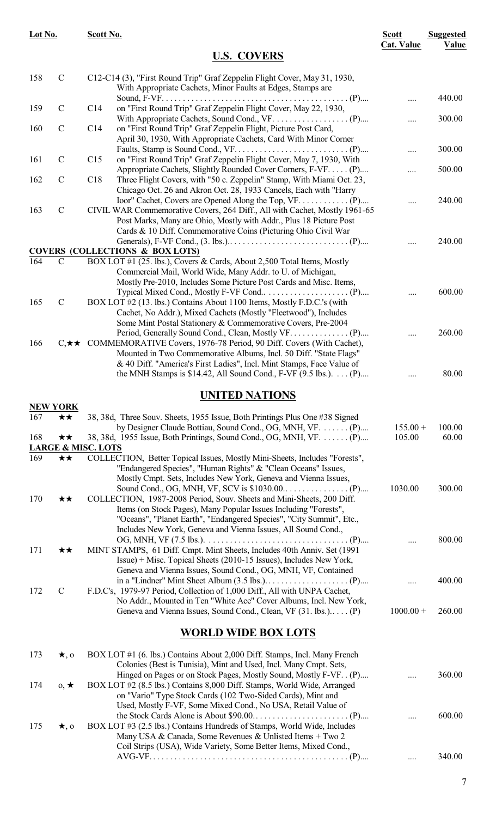| Lot No. |                                               | Scott No. |                                                                                                                                                                                                                       | <b>Scott</b><br><b>Cat. Value</b> | <b>Suggested</b><br>Value |
|---------|-----------------------------------------------|-----------|-----------------------------------------------------------------------------------------------------------------------------------------------------------------------------------------------------------------------|-----------------------------------|---------------------------|
|         |                                               |           | <b>U.S. COVERS</b>                                                                                                                                                                                                    |                                   |                           |
| 158     | $\mathbf C$                                   |           | C12-C14 (3), "First Round Trip" Graf Zeppelin Flight Cover, May 31, 1930,<br>With Appropriate Cachets, Minor Faults at Edges, Stamps are                                                                              |                                   |                           |
| 159     | $\mathbf C$                                   | C14       | on "First Round Trip" Graf Zeppelin Flight Cover, May 22, 1930,                                                                                                                                                       |                                   | 440.00                    |
| 160     | $\mathbf C$                                   | C14       | on "First Round Trip" Graf Zeppelin Flight, Picture Post Card,<br>April 30, 1930, With Appropriate Cachets, Card With Minor Corner                                                                                    | .                                 | 300.00                    |
| 161     | $\mathbf C$                                   | C15       | on "First Round Trip" Graf Zeppelin Flight Cover, May 7, 1930, With                                                                                                                                                   |                                   | 300.00                    |
| 162     | $\mathcal{C}$                                 | C18       | Appropriate Cachets, Slightly Rounded Cover Corners, F-VF (P)<br>Three Flight Covers, with "50 c. Zeppelin" Stamp, With Miami Oct. 23,                                                                                |                                   | 500.00                    |
| 163     | $\mathcal{C}$                                 |           | Chicago Oct. 26 and Akron Oct. 28, 1933 Cancels, Each with "Harry<br>CIVIL WAR Commemorative Covers, 264 Diff., All with Cachet, Mostly 1961-65<br>Post Marks, Many are Ohio, Mostly with Addr., Plus 18 Picture Post |                                   | 240.00                    |
|         |                                               |           | Cards & 10 Diff. Commemorative Coins (Picturing Ohio Civil War                                                                                                                                                        |                                   | 240.00                    |
|         |                                               |           | <b>COVERS (COLLECTIONS &amp; BOX LOTS)</b>                                                                                                                                                                            |                                   |                           |
| 164     | $\mathbf C$                                   |           | BOX LOT #1 (25. lbs.), Covers & Cards, About 2,500 Total Items, Mostly<br>Commercial Mail, World Wide, Many Addr. to U. of Michigan,<br>Mostly Pre-2010, Includes Some Picture Post Cards and Misc. Items,            |                                   |                           |
| 165     | $\mathbf C$                                   |           | BOX LOT #2 (13. lbs.) Contains About 1100 Items, Mostly F.D.C.'s (with<br>Cachet, No Addr.), Mixed Cachets (Mostly "Fleetwood"), Includes<br>Some Mint Postal Stationery & Commemorative Covers, Pre-2004             |                                   | 600.00                    |
| 166     |                                               |           | C, $\star \star$ COMMEMORATIVE Covers, 1976-78 Period, 90 Diff. Covers (With Cachet),<br>Mounted in Two Commemorative Albums, Incl. 50 Diff. "State Flags"                                                            | .                                 | 260.00                    |
|         |                                               |           | & 40 Diff. "America's First Ladies", Incl. Mint Stamps, Face Value of<br>the MNH Stamps is \$14.42, All Sound Cond., F-VF $(9.5 \text{ lbs.})$ $(P)$                                                                  | .                                 | 80.00                     |
|         |                                               |           | <b>UNITED NATIONS</b>                                                                                                                                                                                                 |                                   |                           |
| 167     | <b>NEW YORK</b><br>$\star\star$               |           | 38, 38d, Three Souv. Sheets, 1955 Issue, Both Printings Plus One #38 Signed                                                                                                                                           |                                   |                           |
|         |                                               |           | by Designer Claude Bottiau, Sound Cond., OG, MNH, VF.  (P)                                                                                                                                                            | $155.00 +$                        | 100.00                    |
| 168     | ★★                                            |           | 38, 38d, 1955 Issue, Both Printings, Sound Cond., OG, MNH, VF.  (P)                                                                                                                                                   | 105.00                            | 60.00                     |
| 169     | <b>LARGE &amp; MISC. LOTS</b><br>$\star\star$ |           | COLLECTION, Better Topical Issues, Mostly Mini-Sheets, Includes "Forests",<br>"Endangered Species", "Human Rights" & "Clean Oceans" Issues,                                                                           |                                   |                           |
| 170     | ★★                                            |           | Mostly Cmpt. Sets, Includes New York, Geneva and Vienna Issues,<br>COLLECTION, 1987-2008 Period, Souv. Sheets and Mini-Sheets, 200 Diff.                                                                              | 1030.00                           | 300.00                    |
|         |                                               |           | Items (on Stock Pages), Many Popular Issues Including "Forests",<br>"Oceans", "Planet Earth", "Endangered Species", "City Summit", Etc.,<br>Includes New York, Geneva and Vienna Issues, All Sound Cond.,             |                                   | 800.00                    |
| 171     | ★★                                            |           | MINT STAMPS, 61 Diff. Cmpt. Mint Sheets, Includes 40th Anniv. Set (1991)<br>Issue) + Misc. Topical Sheets (2010-15 Issues), Includes New York,<br>Geneva and Vienna Issues, Sound Cond., OG, MNH, VF, Contained       |                                   |                           |
| 172     | $\mathbf C$                                   |           | F.D.C's, 1979-97 Period, Collection of 1,000 Diff., All with UNPA Cachet,<br>No Addr., Mounted in Ten "White Ace" Cover Albums, Incl. New York,                                                                       | .                                 | 400.00                    |
|         |                                               |           | Geneva and Vienna Issues, Sound Cond., Clean, VF (31. lbs.) (P)                                                                                                                                                       | $1000.00 +$                       | 260.00                    |
|         |                                               |           | <b>WORLD WIDE BOX LOTS</b>                                                                                                                                                                                            |                                   |                           |
| 173     | $\star$ , 0                                   |           | BOX LOT #1 (6. lbs.) Contains About 2,000 Diff. Stamps, Incl. Many French<br>Colonies (Best is Tunisia), Mint and Used, Incl. Many Cmpt. Sets,<br>Hinged on Pages or on Stock Pages, Mostly Sound, Mostly F-VF. . (P) |                                   | 360.00                    |
| 174     | $0, \star$                                    |           | BOX LOT #2 (8.5 lbs.) Contains 8,000 Diff. Stamps, World Wide, Arranged<br>on "Vario" Type Stock Cards (102 Two-Sided Cards), Mint and<br>Used, Mostly F-VF, Some Mixed Cond., No USA, Retail Value of                |                                   |                           |
| 175     | $\star$ , o                                   |           | BOX LOT #3 (2.5 lbs.) Contains Hundreds of Stamps, World Wide, Includes<br>Many USA & Canada, Some Revenues & Unlisted Items + Two 2<br>Coil Strips (USA), Wide Variety, Some Better Items, Mixed Cond.,              |                                   | 600.00                    |

AVG-VF. . . . . . . . . . . . . . . . . . . . . . . . . . . . . . . . . . . . . . . . . . . . . . . (P).... .... 340.00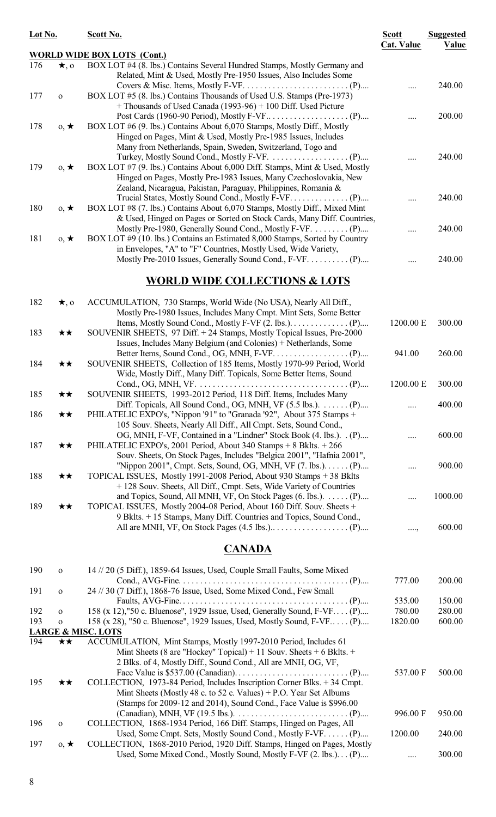| Lot No. |              | Scott No.                                                                                                                                                                                                          | <b>Scott</b><br><b>Cat. Value</b> | <b>Suggested</b><br>Value |
|---------|--------------|--------------------------------------------------------------------------------------------------------------------------------------------------------------------------------------------------------------------|-----------------------------------|---------------------------|
|         |              | <b>WORLD WIDE BOX LOTS (Cont.)</b>                                                                                                                                                                                 |                                   |                           |
| 176     | $\star$ , 0  | BOX LOT #4 (8. lbs.) Contains Several Hundred Stamps, Mostly Germany and<br>Related, Mint & Used, Mostly Pre-1950 Issues, Also Includes Some                                                                       |                                   |                           |
| 177     | $\mathbf{o}$ | BOX LOT #5 (8. lbs.) Contains Thousands of Used U.S. Stamps (Pre-1973)<br>+ Thousands of Used Canada (1993-96) + 100 Diff. Used Picture                                                                            |                                   | 240.00                    |
| 178     | $0, \star$   | BOX LOT #6 (9. lbs.) Contains About 6,070 Stamps, Mostly Diff., Mostly<br>Hinged on Pages, Mint & Used, Mostly Pre-1985 Issues, Includes<br>Many from Netherlands, Spain, Sweden, Switzerland, Togo and            |                                   | 200.00                    |
| 179     | $0, \star$   | BOX LOT #7 (9. lbs.) Contains About 6,000 Diff. Stamps, Mint & Used, Mostly<br>Hinged on Pages, Mostly Pre-1983 Issues, Many Czechoslovakia, New<br>Zealand, Nicaragua, Pakistan, Paraguay, Philippines, Romania & |                                   | 240.00                    |
| 180     | $0, \star$   | BOX LOT #8 (7. lbs.) Contains About 6,070 Stamps, Mostly Diff., Mixed Mint<br>& Used, Hinged on Pages or Sorted on Stock Cards, Many Diff. Countries,                                                              |                                   | 240.00                    |
| 181     | $0, \star$   | Mostly Pre-1980, Generally Sound Cond., Mostly F-VF.  (P)<br>BOX LOT #9 (10. lbs.) Contains an Estimated 8,000 Stamps, Sorted by Country                                                                           |                                   | 240.00                    |
|         |              | in Envelopes, "A" to "F" Countries, Mostly Used, Wide Variety,<br>Mostly Pre-2010 Issues, Generally Sound Cond., F-VF. (P)                                                                                         |                                   | 240.00                    |
|         |              | <b>WORLD WIDE COLLECTIONS &amp; LOTS</b>                                                                                                                                                                           |                                   |                           |
| 182     | $\star$ , o  | ACCUMULATION, 730 Stamps, World Wide (No USA), Nearly All Diff.,<br>Mostly Pre-1980 Issues, Includes Many Cmpt. Mint Sets, Some Better                                                                             |                                   |                           |
| 183     | ★★           | SOUVENIR SHEETS, 97 Diff. + 24 Stamps, Mostly Topical Issues, Pre-2000<br>Issues, Includes Many Belgium (and Colonies) + Netherlands, Some                                                                         | 1200.00 E                         | 300.00                    |
| 184     | ★★           | SOUVENIR SHEETS, Collection of 185 Items, Mostly 1970-99 Period, World<br>Wide, Mostly Diff., Many Diff. Topicals, Some Better Items, Sound                                                                        | 941.00                            | 260.00                    |
| 185     | ★★           | SOUVENIR SHEETS, 1993-2012 Period, 118 Diff. Items, Includes Many                                                                                                                                                  | 1200.00 E                         | 300.00                    |
| 186     | ★★           | PHILATELIC EXPO's, "Nippon '91" to "Granada '92", About 375 Stamps +<br>105 Souv. Sheets, Nearly All Diff., All Cmpt. Sets, Sound Cond.,                                                                           |                                   | 400.00                    |
| 187     | ★★           | OG, MNH, F-VF, Contained in a "Lindner" Stock Book (4. lbs.). (P)<br>PHILATELIC EXPO's, 2001 Period, About 340 Stamps + 8 Bklts. + 266<br>Souv. Sheets, On Stock Pages, Includes "Belgica 2001", "Hafnia 2001",    |                                   | 600.00                    |
| 188     | ★★           | "Nippon 2001", Cmpt. Sets, Sound, OG, MNH, VF (7. lbs.). (P)<br>TOPICAL ISSUES, Mostly 1991-2008 Period, About 930 Stamps + 38 Bklts                                                                               |                                   | 900.00                    |
| 189     | ★★           | +128 Souv. Sheets, All Diff., Cmpt. Sets, Wide Variety of Countries<br>and Topics, Sound, All MNH, VF, On Stock Pages $(6. lbs.)$ . (P)<br>TOPICAL ISSUES, Mostly 2004-08 Period, About 160 Diff. Souv. Sheets +   |                                   | 1000.00                   |
|         |              | 9 Bklts. + 15 Stamps, Many Diff. Countries and Topics, Sound Cond.,                                                                                                                                                | $\ldots,$                         | 600.00                    |

#### **CANADA**

| 190 | $\Omega$   | 14 // 20 (5 Diff.), 1859-64 Issues, Used, Couple Small Faults, Some Mixed                            |          |        |
|-----|------------|------------------------------------------------------------------------------------------------------|----------|--------|
|     |            |                                                                                                      | 777.00   | 200.00 |
| 191 | $\Omega$   | 24 // 30 (7 Diff.), 1868-76 Issue, Used, Some Mixed Cond., Few Small                                 |          |        |
|     |            |                                                                                                      | 535.00   | 150.00 |
| 192 | $\Omega$   | 158 (x 12),"50 c. Bluenose", 1929 Issue, Used, Generally Sound, F-VF (P)                             | 780.00   | 280.00 |
| 193 | $\Omega$   | 158 (x 28), "50 c. Bluenose", 1929 Issues, Used, Mostly Sound, F-VF (P)                              | 1820.00  | 600.00 |
|     |            | <b>LARGE &amp; MISC. LOTS</b>                                                                        |          |        |
| 194 | **         | ACCUMULATION, Mint Stamps, Mostly 1997-2010 Period, Includes 61                                      |          |        |
|     |            | Mint Sheets (8 are "Hockey" Topical) + 11 Souv. Sheets + 6 Bklts. +                                  |          |        |
|     |            | 2 Blks. of 4, Mostly Diff., Sound Cond., All are MNH, OG, VF,                                        |          |        |
|     |            | Face Value is \$537.00 (Canadian). $\dots \dots \dots \dots \dots \dots \dots \dots \dots \dots$ (P) | 537.00 F | 500.00 |
| 195 | **         | COLLECTION, 1973-84 Period, Includes Inscription Corner Blks. +34 Cmpt.                              |          |        |
|     |            | Mint Sheets (Mostly 48 c. to 52 c. Values) + P.O. Year Set Albums                                    |          |        |
|     |            | (Stamps for 2009-12 and 2014), Sound Cond., Face Value is \$996.00                                   |          |        |
|     |            | (Canadian), MNH, VF (19.5 lbs.). $\dots \dots \dots \dots \dots \dots \dots \dots \dots \dots$ . (P) | 996.00 F | 950.00 |
| 196 | $\Omega$   | COLLECTION, 1868-1934 Period, 166 Diff. Stamps, Hinged on Pages, All                                 |          |        |
|     |            | Used, Some Cmpt. Sets, Mostly Sound Cond., Mostly F-VF (P)                                           | 1200.00  | 240.00 |
| 197 | $0, \star$ | COLLECTION, 1868-2010 Period, 1920 Diff. Stamps, Hinged on Pages, Mostly                             |          |        |
|     |            | Used, Some Mixed Cond., Mostly Sound, Mostly F-VF (2. lbs.) (P)                                      |          | 300.00 |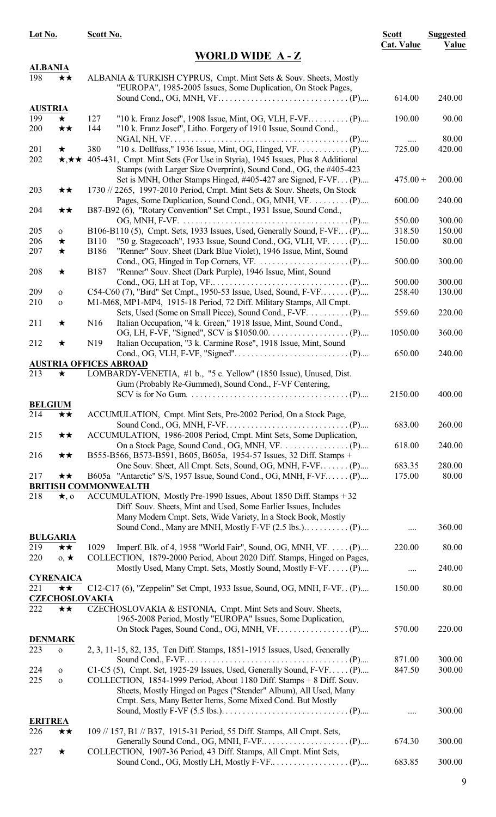| Lot No.         |                              | Scott No.                                                                                                                                                                         | <b>Scott</b>      | <b>Suggested</b> |
|-----------------|------------------------------|-----------------------------------------------------------------------------------------------------------------------------------------------------------------------------------|-------------------|------------------|
|                 |                              | <b>WORLD WIDE A-Z</b>                                                                                                                                                             | <b>Cat. Value</b> | Value            |
| <b>ALBANIA</b>  |                              |                                                                                                                                                                                   |                   |                  |
| 198             | ★★                           | ALBANIA & TURKISH CYPRUS, Cmpt. Mint Sets & Souv. Sheets, Mostly<br>"EUROPA", 1985-2005 Issues, Some Duplication, On Stock Pages,                                                 |                   |                  |
| <b>AUSTRIA</b>  |                              |                                                                                                                                                                                   | 614.00            | 240.00           |
| 199             | $\star$                      | 127                                                                                                                                                                               | 190.00            | 90.00            |
| 200             | $\star\star$                 | 144<br>"10 k. Franz Josef", Litho. Forgery of 1910 Issue, Sound Cond.,                                                                                                            |                   | 80.00            |
| 201             | $\bigstar$                   | 380                                                                                                                                                                               | 725.00            | 420.00           |
| 202             |                              | *** 405-431, Cmpt. Mint Sets (For Use in Styria), 1945 Issues, Plus 8 Additional<br>Stamps (with Larger Size Overprint), Sound Cond., OG, the #405-423                            |                   |                  |
| 203             | ★★                           | Set is MNH, Other Stamps Hinged, #405-427 are Signed, F-VF (P)<br>1730 // 2265, 1997-2010 Period, Cmpt. Mint Sets & Souv. Sheets, On Stock                                        | $475.00 +$        | 200.00           |
| 204             | ★★                           | B87-B92 (6), "Rotary Convention" Set Cmpt., 1931 Issue, Sound Cond.,                                                                                                              | 600.00            | 240.00           |
|                 |                              |                                                                                                                                                                                   | 550.00            | 300.00           |
| 205             | $\mathbf{o}$                 | B106-B110 (5), Cmpt. Sets, 1933 Issues, Used, Generally Sound, F-VF (P)                                                                                                           | 318.50            | 150.00           |
| 206<br>207      | $\bigstar$<br>$\bigstar$     | "50 g. Stagecoach", 1933 Issue, Sound Cond., OG, VLH, VF. (P)<br><b>B110</b><br><b>B186</b><br>"Renner" Souv. Sheet (Dark Blue Violet), 1946 Issue, Mint, Sound                   | 150.00            | 80.00            |
| 208             | $\bigstar$                   | "Renner" Souv. Sheet (Dark Purple), 1946 Issue, Mint, Sound<br><b>B187</b>                                                                                                        | 500.00            | 300.00           |
|                 |                              |                                                                                                                                                                                   | 500.00            | 300.00           |
| 209<br>210      | $\mathbf{O}$<br>$\mathbf{O}$ | C54-C60 (7), "Bird" Set Cmpt., 1950-53 Issue, Used, Sound, F-VF (P)<br>M1-M68, MP1-MP4, 1915-18 Period, 72 Diff. Military Stamps, All Cmpt.                                       | 258.40            | 130.00           |
| 211             | ★                            | Sets, Used (Some on Small Piece), Sound Cond., F-VF.  (P)<br>Italian Occupation, "4 k. Green," 1918 Issue, Mint, Sound Cond.,<br>N16                                              | 559.60            | 220.00           |
| 212             | ★                            | Italian Occupation, "3 k. Carmine Rose", 1918 Issue, Mint, Sound<br>N <sub>19</sub>                                                                                               | 1050.00           | 360.00           |
|                 |                              | <b>AUSTRIA OFFICES ABROAD</b>                                                                                                                                                     | 650.00            | 240.00           |
| 213             | $\star$                      | LOMBARDY-VENETIA, #1 b., "5 c. Yellow" (1850 Issue), Unused, Dist.                                                                                                                |                   |                  |
|                 |                              | Gum (Probably Re-Gummed), Sound Cond., F-VF Centering,                                                                                                                            | 2150.00           | 400.00           |
| <b>BELGIUM</b>  |                              |                                                                                                                                                                                   |                   |                  |
| 214             | ★★                           | ACCUMULATION, Cmpt. Mint Sets, Pre-2002 Period, On a Stock Page,                                                                                                                  |                   |                  |
| 215             | $\star\star$                 | Sound Cond., OG, MNH, F-VF. $\dots \dots \dots \dots \dots \dots \dots \dots \dots \dots \dots \dots$ . (P)<br>ACCUMULATION, 1986-2008 Period, Cmpt. Mint Sets, Some Duplication, | 683.00            | 260.00           |
| 216             | ★★                           | B555-B566, B573-B591, B605, B605a, 1954-57 Issues, 32 Diff. Stamps +                                                                                                              | 618.00            | 240.00           |
|                 |                              | One Souv. Sheet, All Cmpt. Sets, Sound, OG, MNH, F-VF (P)                                                                                                                         | 683.35            | 280.00           |
| 217             | ★★                           | B605a "Antarctic" S/S, 1957 Issue, Sound Cond., OG, MNH, F-VF (P)                                                                                                                 | 175.00            | 80.00            |
| 218             | $\star$ , o                  | <b>BRITISH COMMONWEALTH</b><br>ACCUMULATION, Mostly Pre-1990 Issues, About 1850 Diff. Stamps + 32<br>Diff. Souv. Sheets, Mint and Used, Some Earlier Issues, Includes             |                   |                  |
|                 |                              | Many Modern Cmpt. Sets, Wide Variety, In a Stock Book, Mostly<br>Sound Cond., Many are MNH, Mostly F-VF $(2.5 \text{ lbs.}) \dots \dots \dots (P) \dots$                          |                   | 360.00           |
| <b>BULGARIA</b> |                              |                                                                                                                                                                                   | .                 |                  |
| 219<br>220      | ★★<br>$0, \star$             | Imperf. Blk. of 4, 1958 "World Fair", Sound, OG, MNH, VF. (P)<br>1029<br>COLLECTION, 1879-2000 Period, About 2020 Diff. Stamps, Hinged on Pages,                                  | 220.00            | 80.00            |
|                 |                              | Mostly Used, Many Cmpt. Sets, Mostly Sound, Mostly F-VF. (P)                                                                                                                      |                   | 240.00           |
|                 | <b>CYRENAICA</b>             |                                                                                                                                                                                   |                   |                  |
| 221             | ★★                           | C12-C17 (6), "Zeppelin" Set Cmpt, 1933 Issue, Sound, OG, MNH, F-VF. (P)<br><b>CZECHOSLOVAKIA</b>                                                                                  | 150.00            | 80.00            |
| 222             | ★★                           | CZECHOSLOVAKIA & ESTONIA, Cmpt. Mint Sets and Souv. Sheets,<br>1965-2008 Period, Mostly "EUROPA" Issues, Some Duplication,                                                        |                   |                  |
| <b>DENMARK</b>  |                              |                                                                                                                                                                                   | 570.00            | 220.00           |
| 223             | $\mathbf{o}$                 | 2, 3, 11-15, 82, 135, Ten Diff. Stamps, 1851-1915 Issues, Used, Generally                                                                                                         | 871.00            | 300.00           |
| 224             |                              | $C1-C5$ (5), Cmpt. Set, 1925-29 Issues, Used, Generally Sound, F-VF (P)                                                                                                           | 847.50            | 300.00           |
| 225             | $\mathbf{O}$<br>$\mathbf{O}$ | COLLECTION, 1854-1999 Period, About 1180 Diff. Stamps + 8 Diff. Souv.<br>Sheets, Mostly Hinged on Pages ("Stender" Album), All Used, Many                                         |                   |                  |
|                 |                              | Cmpt. Sets, Many Better Items, Some Mixed Cond. But Mostly                                                                                                                        |                   |                  |
|                 |                              |                                                                                                                                                                                   |                   | 300.00           |
| <b>ERITREA</b>  |                              |                                                                                                                                                                                   |                   |                  |
| 226             | ★★                           | 109 // 157, B1 // B37, 1915-31 Period, 55 Diff. Stamps, All Cmpt. Sets,                                                                                                           | 674.30            | 300.00           |
| 227             | ★                            | COLLECTION, 1907-36 Period, 43 Diff. Stamps, All Cmpt. Mint Sets,                                                                                                                 |                   |                  |

Sound Cond., OG, Mostly LH, Mostly F-VF.. . . . . . . . . . . . . . . . . . (P).... 683.85 300.00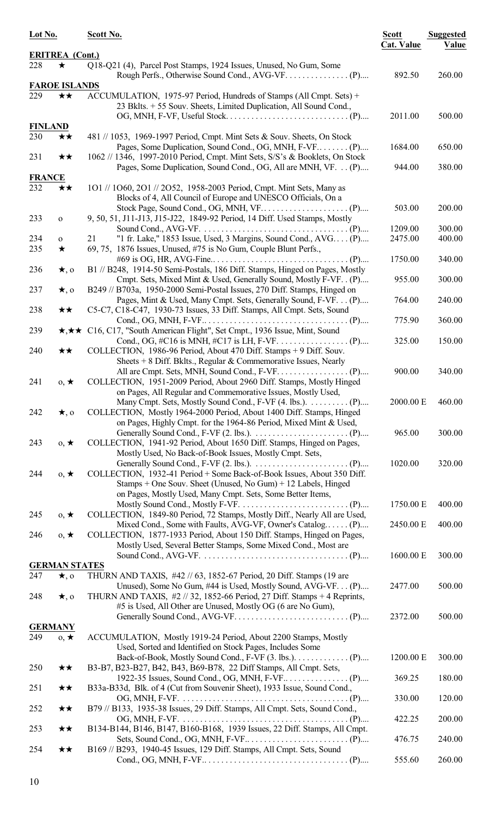| Lot No.               |                            | Scott No.                                                                                                                                                                                             | <b>Scott</b><br><b>Cat. Value</b> | <b>Suggested</b><br>Value |
|-----------------------|----------------------------|-------------------------------------------------------------------------------------------------------------------------------------------------------------------------------------------------------|-----------------------------------|---------------------------|
|                       | <b>ERITREA</b> (Cont.)     |                                                                                                                                                                                                       |                                   |                           |
| 228                   | $\star$                    | Q18-Q21 (4), Parcel Post Stamps, 1924 Issues, Unused, No Gum, Some                                                                                                                                    |                                   |                           |
|                       |                            |                                                                                                                                                                                                       | 892.50                            | 260.00                    |
|                       | <b>FAROE ISLANDS</b>       |                                                                                                                                                                                                       |                                   |                           |
| 229                   | ★★                         | ACCUMULATION, 1975-97 Period, Hundreds of Stamps (All Cmpt. Sets) +<br>23 Bklts. + 55 Souv. Sheets, Limited Duplication, All Sound Cond.,                                                             | 2011.00                           | 500.00                    |
| <b>FINLAND</b>        |                            |                                                                                                                                                                                                       |                                   |                           |
| 230                   | ★★                         | 481 // 1053, 1969-1997 Period, Cmpt. Mint Sets & Souv. Sheets, On Stock                                                                                                                               | 1684.00                           | 650.00                    |
| 231                   | ★★                         | 1062 // 1346, 1997-2010 Period, Cmpt. Mint Sets, S/S's & Booklets, On Stock<br>Pages, Some Duplication, Sound Cond., OG, All are MNH, VF. (P)                                                         | 944.00                            | 380.00                    |
| <b>FRANCE</b>         |                            |                                                                                                                                                                                                       |                                   |                           |
| 232                   | ★★                         | 101 // 1060, 201 // 2052, 1958-2003 Period, Cmpt. Mint Sets, Many as<br>Blocks of 4, All Council of Europe and UNESCO Officials, On a                                                                 | 503.00                            | 200.00                    |
| 233                   | $\mathbf O$                | 9, 50, 51, J11-J13, J15-J22, 1849-92 Period, 14 Diff. Used Stamps, Mostly<br>Sound Cond., AVG-VF. $\dots \dots \dots \dots \dots \dots \dots \dots \dots \dots \dots \dots \dots (P) \dots$           | 1209.00                           | 300.00                    |
| 234<br>235            | $\mathbf{O}$<br>$\bigstar$ | "1 fr. Lake," 1853 Issue, Used, 3 Margins, Sound Cond., AVG (P)<br>21<br>69, 75, 1876 Issues, Unused, #75 is No Gum, Couple Blunt Perfs.,                                                             | 2475.00                           | 400.00                    |
| 236                   | $\star$ , o                | B1 // B248, 1914-50 Semi-Postals, 186 Diff. Stamps, Hinged on Pages, Mostly                                                                                                                           | 1750.00                           | 340.00                    |
| 237                   | $\star$ , o                | Cmpt. Sets, Mixed Mint & Used, Generally Sound, Mostly F-VF. . (P)<br>B249 // B703a, 1950-2000 Semi-Postal Issues, 270 Diff. Stamps, Hinged on                                                        | 955.00                            | 300.00                    |
| 238                   | ★★                         | Pages, Mint & Used, Many Cmpt. Sets, Generally Sound, F-VF. (P)<br>C5-C7, C18-C47, 1930-73 Issues, 33 Diff. Stamps, All Cmpt. Sets, Sound                                                             | 764.00                            | 240.00                    |
| 239                   |                            | *** C16, C17, "South American Flight", Set Cmpt., 1936 Issue, Mint, Sound                                                                                                                             | 775.90                            | 360.00                    |
| 240                   | ★★                         | COLLECTION, 1986-96 Period, About 470 Diff. Stamps + 9 Diff. Souv.                                                                                                                                    | 325.00                            | 150.00                    |
|                       |                            | Sheets $+8$ Diff. Bklts., Regular & Commemorative Issues, Nearly                                                                                                                                      | 900.00                            | 340.00                    |
| 241                   | $0, \star$                 | COLLECTION, 1951-2009 Period, About 2960 Diff. Stamps, Mostly Hinged<br>on Pages, All Regular and Commemorative Issues, Mostly Used,                                                                  |                                   |                           |
| 242                   | $\star$ , o                | COLLECTION, Mostly 1964-2000 Period, About 1400 Diff. Stamps, Hinged<br>on Pages, Highly Cmpt. for the 1964-86 Period, Mixed Mint & Used,                                                             | 2000.00 E                         | 460.00                    |
| 243                   | $0, \star$                 | COLLECTION, 1941-92 Period, About 1650 Diff. Stamps, Hinged on Pages,<br>Mostly Used, No Back-of-Book Issues, Mostly Cmpt. Sets,                                                                      | 965.00                            | 300.00                    |
| 244                   | $0, \star$                 | COLLECTION, 1932-41 Period + Some Back-of-Book Issues, About 350 Diff.<br>Stamps + One Souv. Sheet (Unused, No Gum) + 12 Labels, Hinged<br>on Pages, Mostly Used, Many Cmpt. Sets, Some Better Items, | 1020.00                           | 320.00                    |
| 245                   | $0, \star$                 | COLLECTION, 1849-80 Period, 72 Stamps, Mostly Diff., Nearly All are Used,                                                                                                                             | 1750.00 E                         | 400.00                    |
| 246                   | $0, \star$                 | Mixed Cond., Some with Faults, AVG-VF, Owner's Catalog (P)<br>COLLECTION, 1877-1933 Period, About 150 Diff. Stamps, Hinged on Pages,                                                                  | 2450.00 E                         | 400.00                    |
|                       |                            | Mostly Used, Several Better Stamps, Some Mixed Cond., Most are                                                                                                                                        | 1600.00 E                         | 300.00                    |
|                       | <b>GERMAN STATES</b>       |                                                                                                                                                                                                       |                                   |                           |
| 247                   | $\star$ , o                | THURN AND TAXIS, #42 // 63, 1852-67 Period, 20 Diff. Stamps (19 are<br>Unused), Some No Gum, #44 is Used, Mostly Sound, AVG-VF. (P)                                                                   | 2477.00                           | 500.00                    |
| 248                   | $\star$ , o                | THURN AND TAXIS, #2 // 32, 1852-66 Period, 27 Diff. Stamps + 4 Reprints,<br>#5 is Used, All Other are Unused, Mostly OG (6 are No Gum),                                                               |                                   |                           |
|                       |                            |                                                                                                                                                                                                       | 2372.00                           | 500.00                    |
| <b>GERMANY</b><br>249 | $0, \star$                 | ACCUMULATION, Mostly 1919-24 Period, About 2200 Stamps, Mostly                                                                                                                                        |                                   |                           |
|                       |                            | Used, Sorted and Identified on Stock Pages, Includes Some                                                                                                                                             | 1200.00 E                         | 300.00                    |
| 250                   | ★★                         | B3-B7, B23-B27, B42, B43, B69-B78, 22 Diff Stamps, All Cmpt. Sets,                                                                                                                                    | 369.25                            | 180.00                    |
| 251                   | ★★                         | B33a-B33d, Blk. of 4 (Cut from Souvenir Sheet), 1933 Issue, Sound Cond.,                                                                                                                              | 330.00                            | 120.00                    |
| 252                   | $\star\star$               | B79 // B133, 1935-38 Issues, 29 Diff. Stamps, All Cmpt. Sets, Sound Cond.,                                                                                                                            | 422.25                            | 200.00                    |
| 253                   | $\star\star$               | B134-B144, B146, B147, B160-B168, 1939 Issues, 22 Diff. Stamps, All Cmpt.                                                                                                                             | 476.75                            | 240.00                    |
| 254                   | ★★                         | B169 // B293, 1940-45 Issues, 129 Diff. Stamps, All Cmpt. Sets, Sound                                                                                                                                 | 555.60                            | 260.00                    |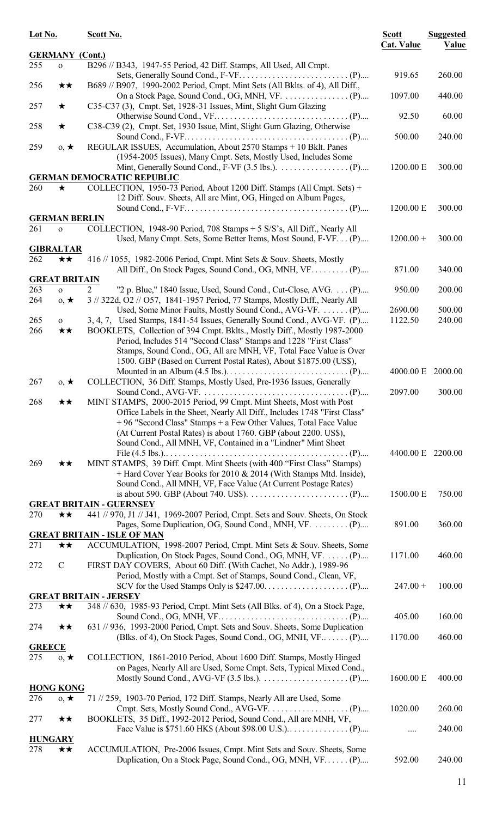| Lot No.       |                            | Scott No.                                                                                                                                                        | <b>Scott</b><br><b>Cat. Value</b> | <b>Suggested</b><br>Value |
|---------------|----------------------------|------------------------------------------------------------------------------------------------------------------------------------------------------------------|-----------------------------------|---------------------------|
|               | <b>GERMANY</b> (Cont.)     |                                                                                                                                                                  |                                   |                           |
| 255           | $\mathbf{o}$               | B296 // B343, 1947-55 Period, 42 Diff. Stamps, All Used, All Cmpt.                                                                                               | 919.65                            | 260.00                    |
| 256           | ★★                         | B689 // B907, 1990-2002 Period, Cmpt. Mint Sets (All Bklts. of 4), All Diff.,                                                                                    |                                   |                           |
|               |                            |                                                                                                                                                                  | 1097.00                           | 440.00                    |
| 257           | $\star$                    | C35-C37 (3), Cmpt. Set, 1928-31 Issues, Mint, Slight Gum Glazing                                                                                                 |                                   |                           |
| 258           | $\bigstar$                 | C38-C39 (2), Cmpt. Set, 1930 Issue, Mint, Slight Gum Glazing, Otherwise                                                                                          | 92.50                             | 60.00                     |
|               |                            |                                                                                                                                                                  | 500.00                            | 240.00                    |
| 259           | $0, \star$                 | REGULAR ISSUES, Accumulation, About 2570 Stamps + 10 Bklt. Panes                                                                                                 |                                   |                           |
|               |                            | (1954-2005 Issues), Many Cmpt. Sets, Mostly Used, Includes Some                                                                                                  |                                   |                           |
|               |                            | <b>GERMAN DEMOCRATIC REPUBLIC</b>                                                                                                                                | 1200.00 E                         | 300.00                    |
| 260           | ★                          | COLLECTION, 1950-73 Period, About 1200 Diff. Stamps (All Cmpt. Sets) +                                                                                           |                                   |                           |
|               |                            | 12 Diff. Souv. Sheets, All are Mint, OG, Hinged on Album Pages,                                                                                                  |                                   |                           |
|               |                            |                                                                                                                                                                  | 1200.00 E                         | 300.00                    |
|               | <b>GERMAN BERLIN</b>       |                                                                                                                                                                  |                                   |                           |
| 261           | $\mathbf{o}$               | COLLECTION, 1948-90 Period, 708 Stamps + 5 S/S's, All Diff., Nearly All<br>Used, Many Cmpt. Sets, Some Better Items, Most Sound, F-VF. (P)                       | $1200.00 +$                       | 300.00                    |
|               | <b>GIBRALTAR</b>           |                                                                                                                                                                  |                                   |                           |
| 262           | ★★                         | 416 // 1055, 1982-2006 Period, Cmpt. Mint Sets & Souv. Sheets, Mostly                                                                                            |                                   |                           |
|               |                            | All Diff., On Stock Pages, Sound Cond., OG, MNH, VF. (P)                                                                                                         | 871.00                            | 340.00                    |
|               | <b>GREAT BRITAIN</b>       |                                                                                                                                                                  |                                   |                           |
| 263<br>264    | $\mathbf{O}$<br>$0, \star$ | $\overline{2}$<br>"2 p. Blue," 1840 Issue, Used, Sound Cond., Cut-Close, AVG. (P)<br>3 // 322d, O2 // O57, 1841-1957 Period, 77 Stamps, Mostly Diff., Nearly All | 950.00                            | 200.00                    |
|               |                            | Used, Some Minor Faults, Mostly Sound Cond., AVG-VF.  (P)                                                                                                        | 2690.00                           | 500.00                    |
| 265           | $\mathbf{O}$               | 3, 4, 7, Used Stamps, 1841-54 Issues, Generally Sound Cond., AVG-VF. (P)                                                                                         | 1122.50                           | 240.00                    |
| 266           | ★★                         | BOOKLETS, Collection of 394 Cmpt. Bklts., Mostly Diff., Mostly 1987-2000                                                                                         |                                   |                           |
|               |                            | Period, Includes 514 "Second Class" Stamps and 1228 "First Class"                                                                                                |                                   |                           |
|               |                            | Stamps, Sound Cond., OG, All are MNH, VF, Total Face Value is Over<br>1500. GBP (Based on Current Postal Rates), About \$1875.00 (US\$),                         |                                   |                           |
|               |                            |                                                                                                                                                                  | 4000.00 E                         | 2000.00                   |
| 267           | $0, \star$                 | COLLECTION, 36 Diff. Stamps, Mostly Used, Pre-1936 Issues, Generally                                                                                             |                                   |                           |
|               |                            |                                                                                                                                                                  | 2097.00                           | 300.00                    |
| 268           | ★★                         | MINT STAMPS, 2000-2015 Period, 99 Cmpt. Mint Sheets, Most with Post                                                                                              |                                   |                           |
|               |                            | Office Labels in the Sheet, Nearly All Diff., Includes 1748 "First Class"<br>+96 "Second Class" Stamps + a Few Other Values, Total Face Value                    |                                   |                           |
|               |                            | (At Current Postal Rates) is about 1760. GBP (about 2200. US\$),                                                                                                 |                                   |                           |
|               |                            | Sound Cond., All MNH, VF, Contained in a "Lindner" Mint Sheet                                                                                                    |                                   |                           |
|               |                            |                                                                                                                                                                  | 4400.00 E 2200.00                 |                           |
| 269           | ★★                         | MINT STAMPS, 39 Diff. Cmpt. Mint Sheets (with 400 "First Class" Stamps)                                                                                          |                                   |                           |
|               |                            | + Hard Cover Year Books for 2010 & 2014 (With Stamps Mtd. Inside),<br>Sound Cond., All MNH, VF, Face Value (At Current Postage Rates)                            |                                   |                           |
|               |                            |                                                                                                                                                                  | 1500.00 E                         | 750.00                    |
|               |                            | <b>GREAT BRITAIN - GUERNSEY</b>                                                                                                                                  |                                   |                           |
| 270           | ★★                         | 441 // 970, J1 // J41, 1969-2007 Period, Cmpt. Sets and Souv. Sheets, On Stock                                                                                   |                                   |                           |
|               |                            | Pages, Some Duplication, OG, Sound Cond., MNH, VF.  (P)<br><b>GREAT BRITAIN - ISLE OF MAN</b>                                                                    | 891.00                            | 360.00                    |
| 271           | ★★                         | ACCUMULATION, 1998-2007 Period, Cmpt. Mint Sets & Souv. Sheets, Some                                                                                             |                                   |                           |
|               |                            | Duplication, On Stock Pages, Sound Cond., OG, MNH, VF.  (P)                                                                                                      | 1171.00                           | 460.00                    |
| 272           | $\mathcal{C}$              | FIRST DAY COVERS, About 60 Diff. (With Cachet, No Addr.), 1989-96                                                                                                |                                   |                           |
|               |                            | Period, Mostly with a Cmpt. Set of Stamps, Sound Cond., Clean, VF,                                                                                               |                                   |                           |
|               |                            | <b>GREAT BRITAIN - JERSEY</b>                                                                                                                                    | $247.00 +$                        | 100.00                    |
| 273           | ★★                         | 348 // 630, 1985-93 Period, Cmpt. Mint Sets (All Blks. of 4), On a Stock Page,                                                                                   |                                   |                           |
|               |                            |                                                                                                                                                                  | 405.00                            | 160.00                    |
| 274           | $\star\star$               | 631 // 936, 1993-2000 Period, Cmpt. Sets and Souv. Sheets, Some Duplication                                                                                      |                                   |                           |
| <b>GREECE</b> |                            | (Blks. of 4), On Stock Pages, Sound Cond., OG, MNH, VF (P)                                                                                                       | 1170.00                           | 460.00                    |
| 275           | $0, \star$                 | COLLECTION, 1861-2010 Period, About 1600 Diff. Stamps, Mostly Hinged                                                                                             |                                   |                           |
|               |                            | on Pages, Nearly All are Used, Some Cmpt. Sets, Typical Mixed Cond.,                                                                                             |                                   |                           |
|               |                            |                                                                                                                                                                  | 1600.00 E                         | 400.00                    |
|               | <b>HONG KONG</b>           |                                                                                                                                                                  |                                   |                           |
| 276           | $0, \star$                 | 71 // 259, 1903-70 Period, 172 Diff. Stamps, Nearly All are Used, Some                                                                                           | 1020.00                           | 260.00                    |
| 277           | ★★                         | BOOKLETS, 35 Diff., 1992-2012 Period, Sound Cond., All are MNH, VF,                                                                                              |                                   |                           |
|               |                            |                                                                                                                                                                  | .                                 | 240.00                    |
|               | <b>HUNGARY</b>             |                                                                                                                                                                  |                                   |                           |
| 278           | ★★                         | ACCUMULATION, Pre-2006 Issues, Cmpt. Mint Sets and Souv. Sheets, Some                                                                                            |                                   |                           |
|               |                            | Duplication, On a Stock Page, Sound Cond., OG, MNH, VF (P)                                                                                                       | 592.00                            | 240.00                    |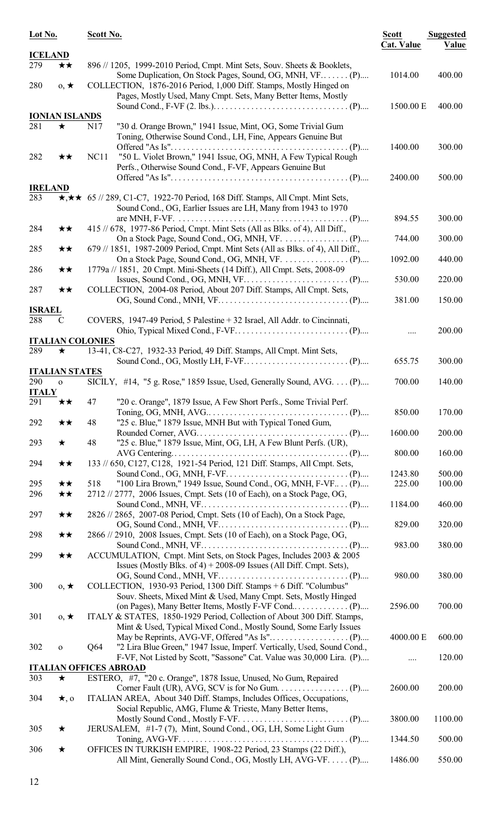| Lot No.              |                        | Scott No.               |                                                                                                                                                                 | <b>Scott</b><br><b>Cat. Value</b> | <b>Suggested</b><br>Value |
|----------------------|------------------------|-------------------------|-----------------------------------------------------------------------------------------------------------------------------------------------------------------|-----------------------------------|---------------------------|
| <b>ICELAND</b>       |                        |                         |                                                                                                                                                                 |                                   |                           |
| 279                  | ★★                     |                         | 896 // 1205, 1999-2010 Period, Cmpt. Mint Sets, Souv. Sheets & Booklets,<br>Some Duplication, On Stock Pages, Sound, OG, MNH, VF (P)                            | 1014.00                           | 400.00                    |
| 280                  | $0, \star$             |                         | COLLECTION, 1876-2016 Period, 1,000 Diff. Stamps, Mostly Hinged on<br>Pages, Mostly Used, Many Cmpt. Sets, Many Better Items, Mostly                            | 1500.00 E                         | 400.00                    |
|                      | <b>IONIAN ISLANDS</b>  |                         |                                                                                                                                                                 |                                   |                           |
| 281                  | ★                      | N17                     | "30 d. Orange Brown," 1941 Issue, Mint, OG, Some Trivial Gum<br>Toning, Otherwise Sound Cond., LH, Fine, Appears Genuine But                                    | 1400.00                           | 300.00                    |
| 282                  | $\star\star$           | NC11                    | "50 L. Violet Brown," 1941 Issue, OG, MNH, A Few Typical Rough<br>Perfs., Otherwise Sound Cond., F-VF, Appears Genuine But                                      |                                   |                           |
|                      |                        |                         |                                                                                                                                                                 | 2400.00                           | 500.00                    |
| <b>IRELAND</b>       |                        |                         |                                                                                                                                                                 |                                   |                           |
| 283                  |                        |                         | $\star, \star \star$ 65 // 289, C1-C7, 1922-70 Period, 168 Diff. Stamps, All Cmpt. Mint Sets,<br>Sound Cond., OG, Earlier Issues are LH, Many from 1943 to 1970 | 894.55                            | 300.00                    |
| 284                  | ★★                     |                         | 415 // 678, 1977-86 Period, Cmpt. Mint Sets (All as Blks. of 4), All Diff.,                                                                                     | 744.00                            | 300.00                    |
| 285                  | ★★                     |                         | 679 // 1851, 1987-2009 Period, Cmpt. Mint Sets (All as Blks. of 4), All Diff.,                                                                                  | 1092.00                           | 440.00                    |
| 286                  | ★★                     |                         | 1779a // 1851, 20 Cmpt. Mini-Sheets (14 Diff.), All Cmpt. Sets, 2008-09                                                                                         | 530.00                            | 220.00                    |
| 287                  | ★★                     |                         | COLLECTION, 2004-08 Period, About 207 Diff. Stamps, All Cmpt. Sets,                                                                                             | 381.00                            | 150.00                    |
| <b>ISRAEL</b><br>288 | C                      |                         | COVERS, 1947-49 Period, 5 Palestine + 32 Israel, All Addr. to Cincinnati,                                                                                       |                                   |                           |
|                      |                        | <b>ITALIAN COLONIES</b> |                                                                                                                                                                 |                                   | 200.00                    |
| 289                  | ★                      |                         | 13-41, C8-C27, 1932-33 Period, 49 Diff. Stamps, All Cmpt. Mint Sets,                                                                                            |                                   |                           |
|                      |                        |                         |                                                                                                                                                                 | 655.75                            | 300.00                    |
|                      | <b>ITALIAN STATES</b>  |                         |                                                                                                                                                                 |                                   |                           |
| 290<br><b>ITALY</b>  | $\mathbf{o}$           |                         | SICILY, $\#14$ , "5 g. Rose," 1859 Issue, Used, Generally Sound, AVG. (P)                                                                                       | 700.00                            | 140.00                    |
| 291                  | ★★                     | 47                      | "20 c. Orange", 1879 Issue, A Few Short Perfs., Some Trivial Perf.                                                                                              |                                   |                           |
| 292                  | ★★                     | 48                      | "25 c. Blue," 1879 Issue, MNH But with Typical Toned Gum,                                                                                                       | 850.00                            | 170.00                    |
| 293                  | $\star$                | 48                      | "25 c. Blue," 1879 Issue, Mint, OG, LH, A Few Blunt Perfs. (UR),                                                                                                | 1600.00                           | 200.00                    |
| 294                  | ★★                     |                         | 133 // 650, C127, C128, 1921-54 Period, 121 Diff. Stamps, All Cmpt. Sets,                                                                                       | 800.00                            | 160.00                    |
|                      |                        | 518                     | "100 Lira Brown," 1949 Issue, Sound Cond., OG, MNH, F-VF (P)                                                                                                    | 1243.80<br>225.00                 | 500.00                    |
| 295<br>296           | ★★<br>★★               |                         | 2712 // 2777, 2006 Issues, Cmpt. Sets (10 of Each), on a Stock Page, OG,                                                                                        | 1184.00                           | 100.00<br>460.00          |
| 297                  | ★★                     |                         | 2826 // 2865, 2007-08 Period, Cmpt. Sets (10 of Each), On a Stock Page,                                                                                         | 829.00                            | 320.00                    |
| 298                  | ★★                     |                         | 2866 // 2910, 2008 Issues, Cmpt. Sets (10 of Each), on a Stock Page, OG,                                                                                        | 983.00                            | 380.00                    |
| 299                  | ★★                     |                         | ACCUMULATION, Cmpt. Mint Sets, on Stock Pages, Includes 2003 & 2005<br>Issues (Mostly Blks. of 4) + 2008-09 Issues (All Diff. Cmpt. Sets),                      |                                   |                           |
| 300                  | $0, \star$             |                         | COLLECTION, 1930-93 Period, 1300 Diff. Stamps + 6 Diff. "Columbus"<br>Souv. Sheets, Mixed Mint & Used, Many Cmpt. Sets, Mostly Hinged                           | 980.00                            | 380.00                    |
| 301                  | $0, \star$             |                         | ITALY & STATES, 1850-1929 Period, Collection of About 300 Diff. Stamps,                                                                                         | 2596.00                           | 700.00                    |
|                      |                        |                         | Mint & Used, Typical Mixed Cond., Mostly Sound, Some Early Issues                                                                                               | 4000.00 E                         | 600.00                    |
| 302                  | $\mathbf{o}$           | Q64                     | "2 Lira Blue Green," 1947 Issue, Imperf. Vertically, Used, Sound Cond.,<br>F-VF, Not Listed by Scott, "Sassone" Cat. Value was 30,000 Lira. (P)                 |                                   | 120.00                    |
|                      |                        |                         | <b>ITALIAN OFFICES ABROAD</b>                                                                                                                                   |                                   |                           |
| 303<br>304           | $\star$<br>$\star$ , o |                         | ESTERO, #7, "20 c. Orange", 1878 Issue, Unused, No Gum, Repaired<br>ITALIAN AREA, About 340 Diff. Stamps, Includes Offices, Occupations,                        | 2600.00                           | 200.00                    |
|                      |                        |                         | Social Republic, AMG, Flume & Trieste, Many Better Items,                                                                                                       | 3800.00                           | 1100.00                   |
| 305                  | ★                      |                         | JERUSALEM, #1-7 (7), Mint, Sound Cond., OG, LH, Some Light Gum                                                                                                  |                                   |                           |
| 306                  | ★                      |                         | OFFICES IN TURKISH EMPIRE, 1908-22 Period, 23 Stamps (22 Diff.),                                                                                                | 1344.50                           | 500.00                    |
|                      |                        |                         | All Mint, Generally Sound Cond., OG, Mostly LH, AVG-VF. (P)                                                                                                     | 1486.00                           | 550.00                    |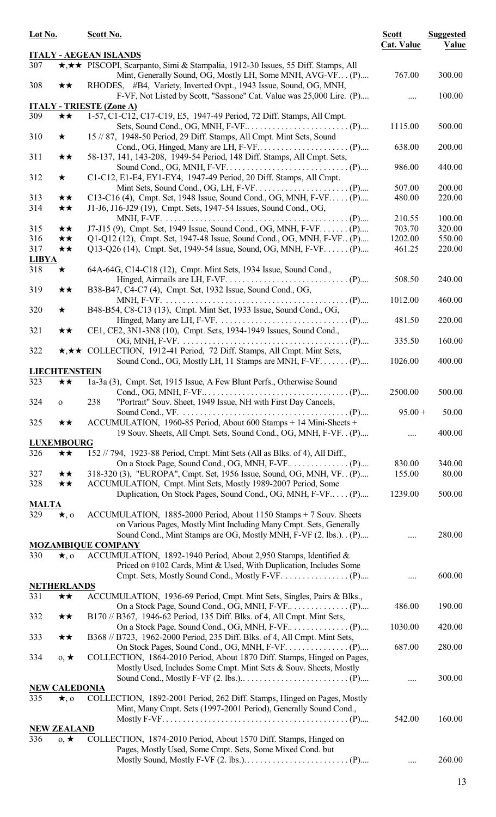| Lot No.      |                      | Scott No.                                                                                                                                                                                                      | <b>Scott</b><br><b>Cat. Value</b> | <b>Suggested</b><br>Value |
|--------------|----------------------|----------------------------------------------------------------------------------------------------------------------------------------------------------------------------------------------------------------|-----------------------------------|---------------------------|
|              |                      | <b>ITALY - AEGEAN ISLANDS</b>                                                                                                                                                                                  |                                   |                           |
| 307          |                      | <b>★,★★</b> PISCOPI, Scarpanto, Simi & Stampalia, 1912-30 Issues, 55 Diff. Stamps, All<br>Mint, Generally Sound, OG, Mostly LH, Some MNH, AVG-VF (P)                                                           | 767.00                            | 300.00                    |
| 308          | ★★                   | RHODES, #B4, Variety, Inverted Ovpt., 1943 Issue, Sound, OG, MNH,<br>F-VF, Not Listed by Scott, "Sassone" Cat. Value was 25,000 Lire. (P)                                                                      |                                   | 100.00                    |
|              |                      | <b>ITALY - TRIESTE (Zone A)</b>                                                                                                                                                                                |                                   |                           |
| 309          | ★★                   | 1-57, C1-C12, C17-C19, E5, 1947-49 Period, 72 Diff. Stamps, All Cmpt.                                                                                                                                          |                                   |                           |
| 310          | $\star$              | 15 // 87, 1948-50 Period, 29 Diff. Stamps, All Cmpt. Mint Sets, Sound                                                                                                                                          | 1115.00<br>638.00                 | 500.00<br>200.00          |
| 311          | ★★                   | 58-137, 141, 143-208, 1949-54 Period, 148 Diff. Stamps, All Cmpt. Sets,                                                                                                                                        |                                   |                           |
| 312          | $\bigstar$           | C1-C12, E1-E4, EY1-EY4, 1947-49 Period, 20 Diff. Stamps, All Cmpt.                                                                                                                                             | 986.00                            | 440.00                    |
|              |                      |                                                                                                                                                                                                                | 507.00                            | 200.00                    |
| 313<br>314   | ★★<br>$\star\star$   | C13-C16 (4), Cmpt. Set, 1948 Issue, Sound Cond., OG, MNH, F-VF (P)<br>J1-J6, J16-J29 (19), Cmpt. Sets, 1947-54 Issues, Sound Cond., OG,                                                                        | 480.00                            | 220.00                    |
|              |                      |                                                                                                                                                                                                                | 210.55                            | 100.00                    |
| 315          | ★★                   | J7-J15 (9), Cmpt. Set, 1949 Issue, Sound Cond., OG, MNH, F-VF (P)                                                                                                                                              | 703.70                            | 320.00                    |
| 316          | ★★                   | Q1-Q12 (12), Cmpt. Set, 1947-48 Issue, Sound Cond., OG, MNH, F-VF. (P)                                                                                                                                         | 1202.00                           | 550.00                    |
| 317          | ★★                   | Q13-Q26 (14), Cmpt. Set, 1949-54 Issue, Sound, OG, MNH, F-VF. (P)                                                                                                                                              | 461.25                            | 220.00                    |
| <b>LIBYA</b> |                      |                                                                                                                                                                                                                |                                   |                           |
| 318          | $\bigstar$           | 64A-64G, C14-C18 (12), Cmpt. Mint Sets, 1934 Issue, Sound Cond.,                                                                                                                                               | 508.50                            | 240.00                    |
| 319          | ★★                   | B38-B47, C4-C7 (4), Cmpt. Set, 1932 Issue, Sound Cond., OG,                                                                                                                                                    | 1012.00                           | 460.00                    |
| 320          | $\star$              | B48-B54, C8-C13 (13), Cmpt. Mint Set, 1933 Issue, Sound Cond., OG,<br>Hinged, Many are LH, F-VF. $\dots \dots \dots \dots \dots \dots \dots \dots \dots \dots \dots \dots \dots$ (P)                           | 481.50                            | 220.00                    |
| 321          | ★★                   | CE1, CE2, 3N1-3N8 (10), Cmpt. Sets, 1934-1949 Issues, Sound Cond.,                                                                                                                                             | 335.50                            | 160.00                    |
| 322          |                      | ★,★★ COLLECTION, 1912-41 Period, 72 Diff. Stamps, All Cmpt. Mint Sets,<br>Sound Cond., OG, Mostly LH, 11 Stamps are MNH, F-VF (P)                                                                              | 1026.00                           | 400.00                    |
|              | <b>LIECHTENSTEIN</b> |                                                                                                                                                                                                                |                                   |                           |
| 323          | ★★                   | 1a-3a (3), Cmpt. Set, 1915 Issue, A Few Blunt Perfs., Otherwise Sound                                                                                                                                          |                                   |                           |
| 324          | $\mathbf{o}$         | "Portrait" Souv. Sheet, 1949 Issue, NH with First Day Cancels,<br>238                                                                                                                                          | 2500.00                           | 500.00                    |
| 325          | ★★                   | ACCUMULATION, 1960-85 Period, About 600 Stamps + 14 Mini-Sheets +                                                                                                                                              | $95.00 +$                         | 50.00                     |
|              |                      | 19 Souv. Sheets, All Cmpt. Sets, Sound Cond., OG, MNH, F-VF. . (P)                                                                                                                                             |                                   | 400.00                    |
|              | <b>LUXEMBOURG</b>    |                                                                                                                                                                                                                |                                   |                           |
| 326          | ★★                   | 152 // 794, 1923-88 Period, Cmpt. Mint Sets (All as Blks. of 4), All Diff.,                                                                                                                                    |                                   |                           |
|              |                      |                                                                                                                                                                                                                | 830.00                            | 340.00                    |
| 327          | $\star\star$         | 318-320 (3), "EUROPA", Cmpt. Set, 1956 Issue, Sound, OG, MNH, VF. (P)                                                                                                                                          | 155.00                            | 80.00                     |
| 328          | ★★                   | ACCUMULATION, Cmpt. Mint Sets, Mostly 1989-2007 Period, Some                                                                                                                                                   |                                   |                           |
|              |                      | Duplication, On Stock Pages, Sound Cond., OG, MNH, F-VF (P)                                                                                                                                                    | 1239.00                           | 500.00                    |
| <b>MALTA</b> |                      |                                                                                                                                                                                                                |                                   |                           |
| 329          | $\star$ , o          | ACCUMULATION, 1885-2000 Period, About 1150 Stamps + 7 Souv. Sheets<br>on Various Pages, Mostly Mint Including Many Cmpt. Sets, Generally<br>Sound Cond., Mint Stamps are OG, Mostly MNH, F-VF (2. lbs.). . (P) |                                   | 280.00                    |
|              |                      | <b>MOZAMBIQUE COMPANY</b>                                                                                                                                                                                      |                                   |                           |
|              |                      |                                                                                                                                                                                                                |                                   |                           |
| 330          | $\star$ , o          | ACCUMULATION, 1892-1940 Period, About 2,950 Stamps, Identified &<br>Priced on #102 Cards, Mint & Used, With Duplication, Includes Some                                                                         |                                   | 600.00                    |
|              | <b>NETHERLANDS</b>   |                                                                                                                                                                                                                |                                   |                           |
| 331          | ★★                   | ACCUMULATION, 1936-69 Period, Cmpt. Mint Sets, Singles, Pairs & Blks.,                                                                                                                                         | 486.00                            | 190.00                    |
| 332          | $\star\star$         | B170 // B367, 1946-62 Period, 135 Diff. Blks. of 4, All Cmpt. Mint Sets,                                                                                                                                       | 1030.00                           | 420.00                    |
| 333          | $\star\star$         | B368 // B723, 1962-2000 Period, 235 Diff. Blks. of 4, All Cmpt. Mint Sets,                                                                                                                                     |                                   |                           |
| 334          | $0, \star$           | COLLECTION, 1864-2010 Period, About 1870 Diff. Stamps, Hinged on Pages,<br>Mostly Used, Includes Some Cmpt. Mint Sets & Souv. Sheets, Mostly                                                                   | 687.00                            | 280.00                    |
|              | <b>NEW CALEDONIA</b> |                                                                                                                                                                                                                |                                   | 300.00                    |
| 335          |                      | COLLECTION, 1892-2001 Period, 262 Diff. Stamps, Hinged on Pages, Mostly                                                                                                                                        |                                   |                           |
|              | $\star$ , o          | Mint, Many Cmpt. Sets (1997-2001 Period), Generally Sound Cond.,                                                                                                                                               | 542.00                            | 160.00                    |
|              | <b>NEW ZEALAND</b>   |                                                                                                                                                                                                                |                                   |                           |
| 336          |                      | COLLECTION, 1874-2010 Period, About 1570 Diff. Stamps, Hinged on                                                                                                                                               |                                   |                           |
|              | $0, \star$           | Pages, Mostly Used, Some Cmpt. Sets, Some Mixed Cond. but                                                                                                                                                      |                                   | 260.00                    |
|              |                      |                                                                                                                                                                                                                |                                   |                           |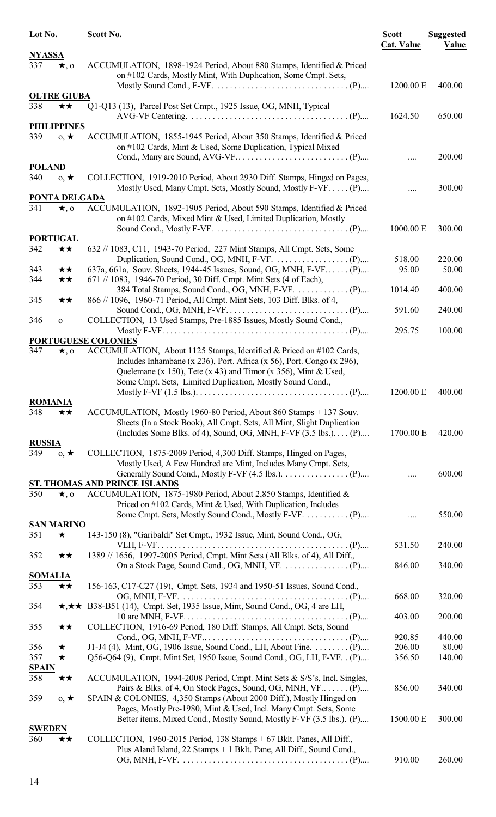| Lot No.              |                      | Scott No.                                                                                                                                                                                                                                                                   | <b>Scott</b><br><b>Cat. Value</b> | <b>Suggested</b><br>Value |
|----------------------|----------------------|-----------------------------------------------------------------------------------------------------------------------------------------------------------------------------------------------------------------------------------------------------------------------------|-----------------------------------|---------------------------|
| <b>NYASSA</b><br>337 | $\star$ , o          | ACCUMULATION, 1898-1924 Period, About 880 Stamps, Identified & Priced                                                                                                                                                                                                       |                                   |                           |
|                      |                      | on #102 Cards, Mostly Mint, With Duplication, Some Cmpt. Sets,                                                                                                                                                                                                              | 1200.00 E                         | 400.00                    |
|                      | <b>OLTRE GIUBA</b>   |                                                                                                                                                                                                                                                                             |                                   |                           |
| 338                  | ★★                   | Q1-Q13 (13), Parcel Post Set Cmpt., 1925 Issue, OG, MNH, Typical                                                                                                                                                                                                            | 1624.50                           | 650.00                    |
|                      | <b>PHILIPPINES</b>   |                                                                                                                                                                                                                                                                             |                                   |                           |
| 339                  | $0, \star$           | ACCUMULATION, 1855-1945 Period, About 350 Stamps, Identified & Priced<br>on #102 Cards, Mint & Used, Some Duplication, Typical Mixed                                                                                                                                        |                                   | 200.00                    |
| <b>POLAND</b>        |                      |                                                                                                                                                                                                                                                                             |                                   |                           |
| 340                  | $0, \star$           | COLLECTION, 1919-2010 Period, About 2930 Diff. Stamps, Hinged on Pages,<br>Mostly Used, Many Cmpt. Sets, Mostly Sound, Mostly F-VF. (P)                                                                                                                                     |                                   | 300.00                    |
|                      | <b>PONTA DELGADA</b> |                                                                                                                                                                                                                                                                             |                                   |                           |
| 341                  | $\star$ , o          | ACCUMULATION, 1892-1905 Period, About 590 Stamps, Identified & Priced<br>on #102 Cards, Mixed Mint & Used, Limited Duplication, Mostly                                                                                                                                      | 1000.00 E                         | 300.00                    |
|                      | <b>PORTUGAL</b>      |                                                                                                                                                                                                                                                                             |                                   |                           |
| 342                  | ★★                   | 632 // 1083, C11, 1943-70 Period, 227 Mint Stamps, All Cmpt. Sets, Some                                                                                                                                                                                                     | 518.00                            | 220.00                    |
| 343<br>344           | ★★<br>★★             | 637a, 661a, Souv. Sheets, 1944-45 Issues, Sound, OG, MNH, F-VF (P)<br>671 // 1083, 1946-70 Period, 30 Diff. Cmpt. Mint Sets (4 of Each),                                                                                                                                    | 95.00                             | 50.00                     |
| 345                  | ★★                   | 866 // 1096, 1960-71 Period, All Cmpt. Mint Sets, 103 Diff. Blks. of 4,                                                                                                                                                                                                     | 1014.40                           | 400.00                    |
| 346                  | $\mathbf{O}$         | COLLECTION, 13 Used Stamps, Pre-1885 Issues, Mostly Sound Cond.,                                                                                                                                                                                                            | 591.60<br>295.75                  | 240.00<br>100.00          |
|                      |                      | PORTUGUESE COLONIES                                                                                                                                                                                                                                                         |                                   |                           |
| 347                  | $\star$ , o          | ACCUMULATION, About 1125 Stamps, Identified & Priced on #102 Cards,<br>Includes Inhambane (x 236), Port. Africa (x 56), Port. Congo (x 296),<br>Quelemane (x 150), Tete (x 43) and Timor (x 356), Mint & Used,<br>Some Cmpt. Sets, Limited Duplication, Mostly Sound Cond., | 1200.00 E                         | 400.00                    |
| <b>ROMANIA</b>       |                      |                                                                                                                                                                                                                                                                             |                                   |                           |
| 348                  | ★★                   | ACCUMULATION, Mostly 1960-80 Period, About 860 Stamps + 137 Souv.<br>Sheets (In a Stock Book), All Cmpt. Sets, All Mint, Slight Duplication                                                                                                                                 |                                   |                           |
|                      |                      | (Includes Some Blks. of 4), Sound, OG, MNH, F-VF $(3.5 \text{ lbs.})$ (P)                                                                                                                                                                                                   | 1700.00 E                         | 420.00                    |
| <b>RUSSIA</b><br>349 | $0, \star$           | COLLECTION, 1875-2009 Period, 4,300 Diff. Stamps, Hinged on Pages,                                                                                                                                                                                                          |                                   |                           |
|                      |                      | Mostly Used, A Few Hundred are Mint, Includes Many Cmpt. Sets,                                                                                                                                                                                                              |                                   | 600.00                    |
|                      |                      | ST. THOMAS AND PRINCE ISLANDS                                                                                                                                                                                                                                               |                                   |                           |
| 350                  | $\star$ , 0          | ACCUMULATION, 1875-1980 Period, About 2,850 Stamps, Identified &<br>Priced on #102 Cards, Mint & Used, With Duplication, Includes                                                                                                                                           |                                   |                           |
|                      | <b>SAN MARINO</b>    |                                                                                                                                                                                                                                                                             |                                   | 550.00                    |
| 351                  | ★                    | 143-150 (8), "Garibaldi" Set Cmpt., 1932 Issue, Mint, Sound Cond., OG,                                                                                                                                                                                                      | 531.50                            | 240.00                    |
| 352                  | ★★                   | 1389 // 1656, 1997-2005 Period, Cmpt. Mint Sets (All Blks. of 4), All Diff.,                                                                                                                                                                                                | 846.00                            | 340.00                    |
| <b>SOMALIA</b>       |                      |                                                                                                                                                                                                                                                                             |                                   |                           |
| 353<br>354           | ★★                   | 156-163, C17-C27 (19), Cmpt. Sets, 1934 and 1950-51 Issues, Sound Cond.,<br>$\star, \star \star$ B38-B51 (14), Cmpt. Set, 1935 Issue, Mint, Sound Cond., OG, 4 are LH,                                                                                                      | 668.00                            | 320.00                    |
| 355                  | ★★                   | COLLECTION, 1916-69 Period, 180 Diff. Stamps, All Cmpt. Sets, Sound                                                                                                                                                                                                         | 403.00                            | 200.00                    |
|                      |                      |                                                                                                                                                                                                                                                                             | 920.85                            | 440.00                    |
| 356                  | ★                    | J1-J4 (4), Mint, OG, 1906 Issue, Sound Cond., LH, About Fine. (P)                                                                                                                                                                                                           | 206.00                            | 80.00                     |
| 357<br><b>SPAIN</b>  | $\star$              | Q56-Q64 (9), Cmpt. Mint Set, 1950 Issue, Sound Cond., OG, LH, F-VF. . (P)                                                                                                                                                                                                   | 356.50                            | 140.00                    |
| 358                  | ★★                   | ACCUMULATION, 1994-2008 Period, Cmpt. Mint Sets & S/S's, Incl. Singles,<br>Pairs & Blks. of 4, On Stock Pages, Sound, OG, MNH, VF (P)                                                                                                                                       | 856.00                            | 340.00                    |
| 359                  | $0, \star$           | SPAIN & COLONIES, 4,350 Stamps (About 2000 Diff.), Mostly Hinged on<br>Pages, Mostly Pre-1980, Mint & Used, Incl. Many Cmpt. Sets, Some<br>Better items, Mixed Cond., Mostly Sound, Mostly F-VF (3.5 lbs.). (P)                                                             | 1500.00 E                         | 300.00                    |
| <b>SWEDEN</b>        |                      |                                                                                                                                                                                                                                                                             |                                   |                           |
| 360                  | ★★                   | COLLECTION, 1960-2015 Period, 138 Stamps + 67 Bklt. Panes, All Diff.,<br>Plus Aland Island, 22 Stamps + 1 Bklt. Pane, All Diff., Sound Cond.,                                                                                                                               |                                   |                           |
|                      |                      |                                                                                                                                                                                                                                                                             | 910.00                            | 260.00                    |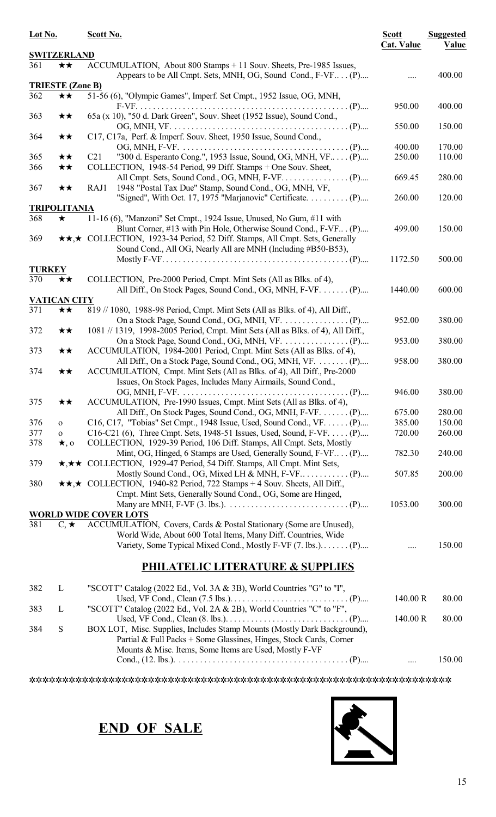| Lot No.       |                         | Scott No.                                                                                                                          |                   | <b>Suggested</b><br>Value |
|---------------|-------------------------|------------------------------------------------------------------------------------------------------------------------------------|-------------------|---------------------------|
|               | <b>SWITZERLAND</b>      |                                                                                                                                    | <b>Cat. Value</b> |                           |
| 361           | $\star\star$            | ACCUMULATION, About 800 Stamps + 11 Souv. Sheets, Pre-1985 Issues,<br>Appears to be All Cmpt. Sets, MNH, OG, Sound Cond., F-VF (P) |                   | 400.00                    |
|               | <b>TRIESTE (Zone B)</b> |                                                                                                                                    |                   |                           |
| 362           | ★★                      | 51-56 (6), "Olympic Games", Imperf. Set Cmpt., 1952 Issue, OG, MNH,                                                                |                   |                           |
|               |                         |                                                                                                                                    | 950.00            | 400.00                    |
| 363           | ★★                      | 65a (x 10), "50 d. Dark Green", Souv. Sheet (1952 Issue), Sound Cond.,                                                             |                   |                           |
|               |                         |                                                                                                                                    | 550.00            | 150.00                    |
| 364           | ★★                      | C17, C17a, Perf. & Imperf. Souv. Sheet, 1950 Issue, Sound Cond.,                                                                   |                   |                           |
|               |                         |                                                                                                                                    | 400.00            | 170.00                    |
| 365           | ★★                      | "300 d. Esperanto Cong.", 1953 Issue, Sound, OG, MNH, VF (P)<br>C <sub>21</sub>                                                    | 250.00            | 110.00                    |
| 366           | ★★                      | COLLECTION, 1948-54 Period, 99 Diff. Stamps + One Souv. Sheet,                                                                     |                   |                           |
|               |                         | RAJ1                                                                                                                               | 669.45            | 280.00                    |
| 367           | ★★                      | 1948 "Postal Tax Due" Stamp, Sound Cond., OG, MNH, VF,<br>"Signed", With Oct. 17, 1975 "Marjanovic" Certificate. (P)               | 260.00            | 120.00                    |
|               | <b>TRIPOLITANIA</b>     |                                                                                                                                    |                   |                           |
| 368           | $\bigstar$              | 11-16 (6), "Manzoni" Set Cmpt., 1924 Issue, Unused, No Gum, #11 with                                                               |                   |                           |
|               |                         | Blunt Corner, #13 with Pin Hole, Otherwise Sound Cond., F-VF (P)                                                                   | 499.00            | 150.00                    |
| 369           |                         | <b>★★,★</b> COLLECTION, 1923-34 Period, 52 Diff. Stamps, All Cmpt. Sets, Generally                                                 |                   |                           |
|               |                         | Sound Cond., All OG, Nearly All are MNH (Including #B50-B53),                                                                      |                   |                           |
|               |                         |                                                                                                                                    | 1172.50           | 500.00                    |
| <b>TURKEY</b> |                         |                                                                                                                                    |                   |                           |
| 370           | ★★                      | COLLECTION, Pre-2000 Period, Cmpt. Mint Sets (All as Blks. of 4),                                                                  |                   |                           |
|               |                         | All Diff., On Stock Pages, Sound Cond., OG, MNH, F-VF.  (P)                                                                        | 1440.00           | 600.00                    |
|               | <b>VATICAN CITY</b>     |                                                                                                                                    |                   |                           |
| 371           | ★★                      | 819 // 1080, 1988-98 Period, Cmpt. Mint Sets (All as Blks. of 4), All Diff.,                                                       |                   |                           |
|               |                         |                                                                                                                                    | 952.00            | 380.00                    |
| 372           | ★★                      | 1081 // 1319, 1998-2005 Period, Cmpt. Mint Sets (All as Blks. of 4), All Diff.,                                                    |                   |                           |
|               |                         |                                                                                                                                    | 953.00            | 380.00                    |
| 373           | ★★                      | ACCUMULATION, 1984-2001 Period, Cmpt. Mint Sets (All as Blks. of 4),                                                               |                   |                           |
|               |                         | All Diff., On a Stock Page, Sound Cond., OG, MNH, VF.  (P)                                                                         | 958.00            | 380.00                    |
| 374           | ★★                      | ACCUMULATION, Cmpt. Mint Sets (All as Blks. of 4), All Diff., Pre-2000                                                             |                   |                           |
|               |                         | Issues, On Stock Pages, Includes Many Airmails, Sound Cond.,                                                                       |                   |                           |
|               |                         |                                                                                                                                    | 946.00            | 380.00                    |
| 375           | ★★                      | ACCUMULATION, Pre-1990 Issues, Cmpt. Mint Sets (All as Blks. of 4),                                                                |                   |                           |
|               |                         | All Diff., On Stock Pages, Sound Cond., OG, MNH, F-VF.  (P)                                                                        | 675.00            | 280.00                    |
| 376           | $\mathbf{o}$            | C16, C17, "Tobias" Set Cmpt., 1948 Issue, Used, Sound Cond., VF. (P)                                                               | 385.00            | 150.00                    |
| 377           | $\mathbf{O}$            | C16-C21 (6), Three Cmpt. Sets, 1948-51 Issues, Used, Sound, F-VF. (P)                                                              | 720.00            | 260.00                    |
| 378           | $\star$ , 0             | COLLECTION, 1929-39 Period, 106 Diff. Stamps, All Cmpt. Sets, Mostly                                                               |                   |                           |
|               |                         | Mint, OG, Hinged, 6 Stamps are Used, Generally Sound, F-VF (P)                                                                     | 782.30            | 240.00                    |
| 379           |                         | ★,★★ COLLECTION, 1929-47 Period, 54 Diff. Stamps, All Cmpt. Mint Sets,                                                             |                   |                           |
|               |                         |                                                                                                                                    | 507.85            | 200.00                    |
| 380           |                         | $\star \star, \star$ COLLECTION, 1940-82 Period, 722 Stamps + 4 Souv. Sheets, All Diff.,                                           |                   |                           |
|               |                         | Cmpt. Mint Sets, Generally Sound Cond., OG, Some are Hinged,                                                                       |                   |                           |
|               |                         |                                                                                                                                    | 1053.00           | 300.00                    |
|               |                         | <b>WORLD WIDE COVER LOTS</b>                                                                                                       |                   |                           |
| 381           | $C, \star$              | ACCUMULATION, Covers, Cards & Postal Stationary (Some are Unused),                                                                 |                   |                           |
|               |                         | World Wide, About 600 Total Items, Many Diff. Countries, Wide                                                                      |                   |                           |
|               |                         | Variety, Some Typical Mixed Cond., Mostly F-VF (7. lbs.) (P)                                                                       |                   | 150.00                    |
|               |                         | <b>PHILATELIC LITERATURE &amp; SUPPLIES</b>                                                                                        |                   |                           |
|               |                         |                                                                                                                                    |                   |                           |
| 382           | L                       | "SCOTT" Catalog (2022 Ed., Vol. 3A & 3B), World Countries "G" to "I",                                                              |                   |                           |
|               |                         |                                                                                                                                    | 140.00 R          | 80.00                     |
| 383           | L                       | "SCOTT" Catalog (2022 Ed., Vol. 2A & 2B), World Countries "C" to "F",                                                              |                   |                           |
|               |                         |                                                                                                                                    | 140.00 R          | 80.00                     |
| 384           | ${\bf S}$               | BOX LOT, Misc. Supplies, Includes Stamp Mounts (Mostly Dark Background),                                                           |                   |                           |
|               |                         | Partial & Full Packs + Some Glassines, Hinges, Stock Cards, Corner                                                                 |                   |                           |
|               |                         | Mounts & Misc. Items, Some Items are Used, Mostly F-VF                                                                             |                   |                           |

Cond., (12. lbs.). . . . . . . . . . . . . . . . . . . . . . . . . . . . . . . . . . . . . . . . . (P).... .... 150.00

ssssssssssssssssssssssssssssssssssssssssssssssssssssssssssssssss



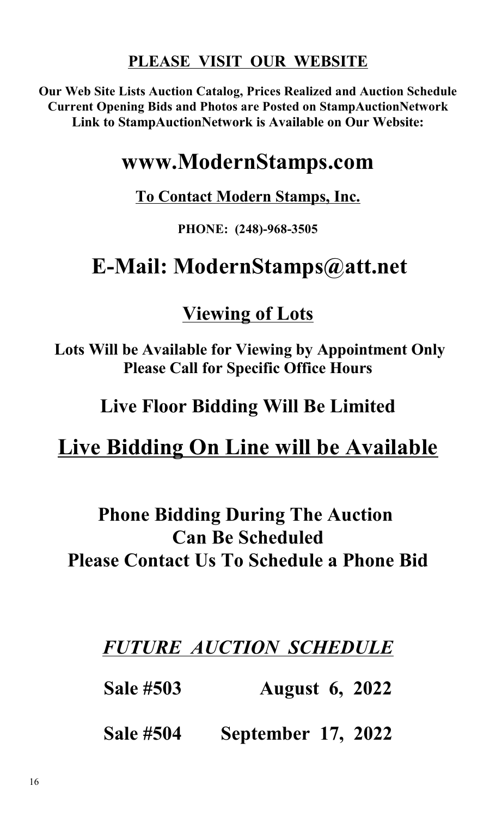#### **PLEASE VISIT OUR WEBSITE**

**Our Web Site Lists Auction Catalog, Prices Realized and Auction Schedule Current Opening Bids and Photos are Posted on StampAuctionNetwork Link to StampAuctionNetwork is Available on Our Website:**

### **www.ModernStamps.com**

#### **To Contact Modern Stamps, Inc.**

#### **PHONE: (248)-968-3505**

## **E-Mail: ModernStamps@att.net**

#### **Viewing of Lots**

 **Lots Will be Available for Viewing by Appointment Only Please Call for Specific Office Hours**

**Live Floor Bidding Will Be Limited**

### **Live Bidding On Line will be Available**

### **Phone Bidding During The Auction Can Be Scheduled Please Contact Us To Schedule a Phone Bid**

#### *FUTURE AUCTION SCHEDULE*

**Sale #503 August 6, 2022**

**Sale #504 September 17, 2022**